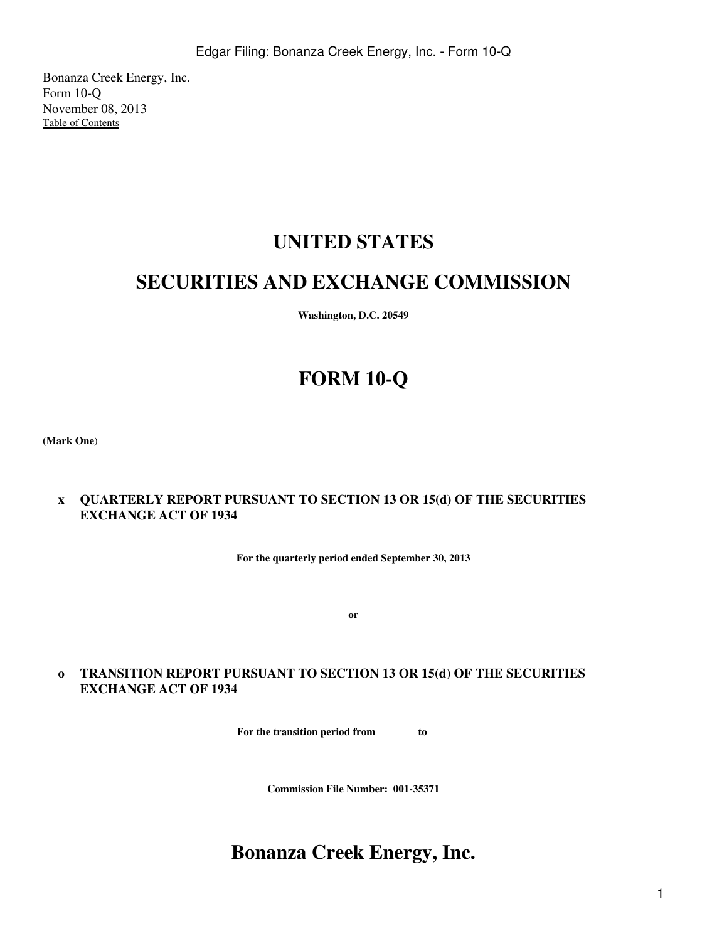Bonanza Creek Energy, Inc. Form 10-Q November 08, 2013 [Table of Contents](#page-2-0)

# **UNITED STATES**

# **SECURITIES AND EXCHANGE COMMISSION**

**Washington, D.C. 20549**

# **FORM 10-Q**

**(Mark One**)

# **x QUARTERLY REPORT PURSUANT TO SECTION 13 OR 15(d) OF THE SECURITIES EXCHANGE ACT OF 1934**

**For the quarterly period ended September 30, 2013**

**or**

# **o TRANSITION REPORT PURSUANT TO SECTION 13 OR 15(d) OF THE SECURITIES EXCHANGE ACT OF 1934**

**For the transition period from to** 

**Commission File Number: 001-35371**

# **Bonanza Creek Energy, Inc.**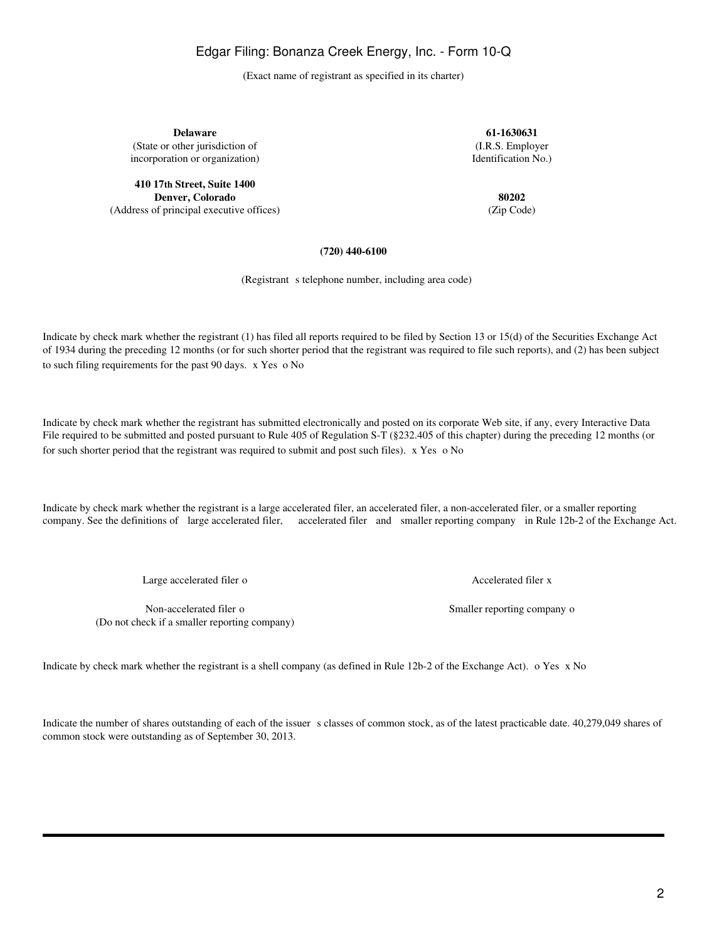2

Edgar Filing: Bonanza Creek Energy, Inc. - Form 10-Q

(Exact name of registrant as specified in its charter)

**Delaware 61-1630631**

**410 17th Street, Suite 1400 Denver, Colorado 80202**

(Address of principal executive offices) (Zip Code)

(State or other jurisdiction of (I.R.S. Employer incorporation or organization) and the state of the state of the Identification No.)

### **(720) 440-6100**

(Registrant s telephone number, including area code)

Indicate by check mark whether the registrant (1) has filed all reports required to be filed by Section 13 or 15(d) of the Securities Exchange Act of 1934 during the preceding 12 months (or for such shorter period that the registrant was required to file such reports), and (2) has been subject to such filing requirements for the past 90 days. x Yes o No

Indicate by check mark whether the registrant has submitted electronically and posted on its corporate Web site, if any, every Interactive Data File required to be submitted and posted pursuant to Rule 405 of Regulation S-T (§232.405 of this chapter) during the preceding 12 months (or for such shorter period that the registrant was required to submit and post such files). x Yes o No

Indicate by check mark whether the registrant is a large accelerated filer, an accelerated filer, a non-accelerated filer, or a smaller reporting company. See the definitions of large accelerated filer, accelerated filer and smaller reporting company in Rule 12b-2 of the Exchange Act.

Large accelerated filer o Accelerated filer o Accelerated filer x

Non-accelerated filer o Smaller reporting company o (Do not check if a smaller reporting company)

Indicate by check mark whether the registrant is a shell company (as defined in Rule 12b-2 of the Exchange Act). o Yes x No

Indicate the number of shares outstanding of each of the issuer s classes of common stock, as of the latest practicable date. 40,279,049 shares of common stock were outstanding as of September 30, 2013.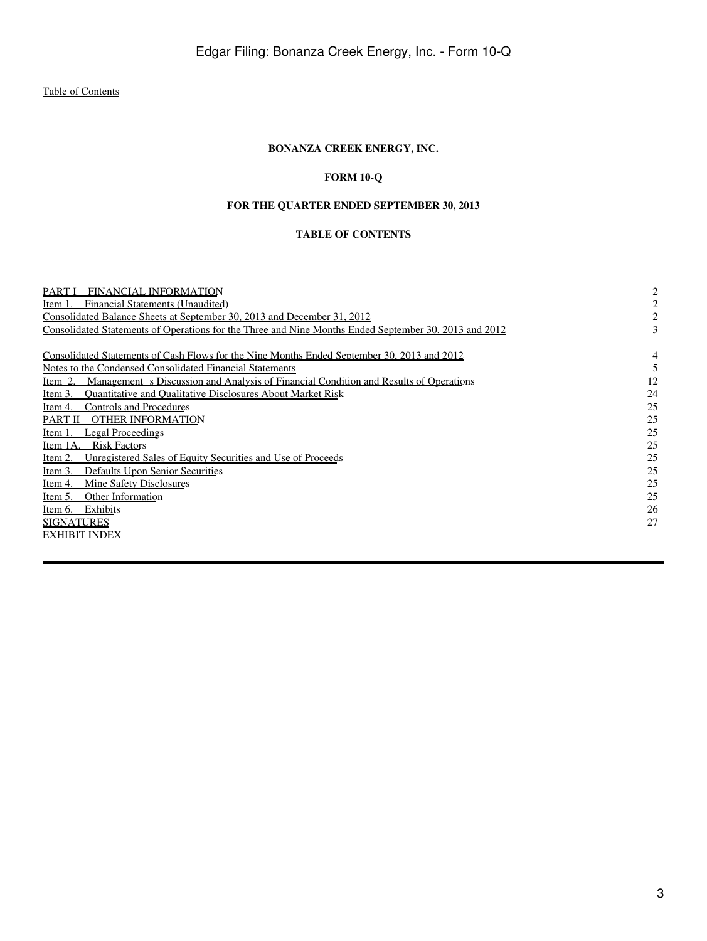# **BONANZA CREEK ENERGY, INC.**

# **FORM 10-Q**

# **FOR THE QUARTER ENDED SEPTEMBER 30, 2013**

# **TABLE OF CONTENTS**

<span id="page-2-0"></span>

| FINANCIAL INFORMATION<br><b>PARTI</b>                                                                 | 2  |
|-------------------------------------------------------------------------------------------------------|----|
| Financial Statements (Unaudited)<br>Item 1                                                            |    |
| Consolidated Balance Sheets at September 30, 2013 and December 31, 2012                               |    |
| Consolidated Statements of Operations for the Three and Nine Months Ended September 30, 2013 and 2012 |    |
| Consolidated Statements of Cash Flows for the Nine Months Ended September 30, 2013 and 2012           | 4  |
| Notes to the Condensed Consolidated Financial Statements                                              |    |
| Management s Discussion and Analysis of Financial Condition and Results of Operations<br>Item 2.      | 12 |
| <b>Ouantitative and Oualitative Disclosures About Market Risk</b><br>Item 3.                          | 24 |
| Controls and Procedures<br>Item 4.                                                                    | 25 |
| <b>OTHER INFORMATION</b><br>PART II                                                                   | 25 |
| Legal Proceedings<br>Item 1.                                                                          | 25 |
| <b>Risk Factors</b><br>Item 1A.                                                                       | 25 |
| Unregistered Sales of Equity Securities and Use of Proceeds<br>Item 2.                                | 25 |
| Defaults Upon Senior Securities<br>Item 3.                                                            | 25 |
| <b>Mine Safety Disclosures</b><br>Item 4.                                                             | 25 |
| Other Information<br>Item 5.                                                                          | 25 |
| Exhibits<br>Item 6.                                                                                   | 26 |
| <b>SIGNATURES</b>                                                                                     | 27 |
| <b>EXHIBIT INDEX</b>                                                                                  |    |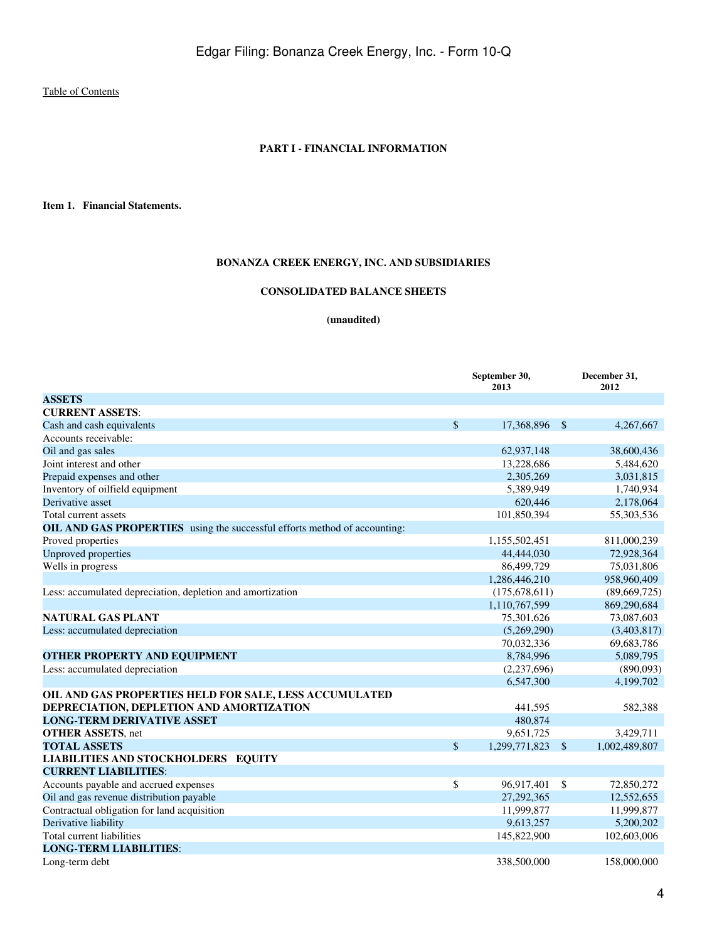#### **PART I - FINANCIAL INFORMATION**

<span id="page-3-1"></span><span id="page-3-0"></span>**Item 1. Financial Statements.**

# **BONANZA CREEK ENERGY, INC. AND SUBSIDIARIES**

# **CONSOLIDATED BALANCE SHEETS**

**(unaudited)**

<span id="page-3-2"></span>

|                                                                           |              | September 30,<br>2013 |              | December 31,<br>2012 |
|---------------------------------------------------------------------------|--------------|-----------------------|--------------|----------------------|
| <b>ASSETS</b>                                                             |              |                       |              |                      |
| <b>CURRENT ASSETS:</b>                                                    |              |                       |              |                      |
| Cash and cash equivalents                                                 | $\mathbb{S}$ | 17,368,896 \$         |              | 4,267,667            |
| Accounts receivable:                                                      |              |                       |              |                      |
| Oil and gas sales                                                         |              | 62,937,148            |              | 38,600,436           |
| Joint interest and other                                                  |              | 13,228,686            |              | 5,484,620            |
| Prepaid expenses and other                                                |              | 2,305,269             |              | 3,031,815            |
| Inventory of oilfield equipment                                           |              | 5,389,949             |              | 1,740,934            |
| Derivative asset                                                          |              | 620,446               |              | 2,178,064            |
| Total current assets                                                      |              | 101,850,394           |              | 55,303,536           |
| OIL AND GAS PROPERTIES using the successful efforts method of accounting: |              |                       |              |                      |
| Proved properties                                                         |              | 1,155,502,451         |              | 811,000,239          |
| <b>Unproved properties</b>                                                |              | 44,444,030            |              | 72,928,364           |
| Wells in progress                                                         |              | 86,499,729            |              | 75,031,806           |
|                                                                           |              | 1,286,446,210         |              | 958,960,409          |
| Less: accumulated depreciation, depletion and amortization                |              | (175, 678, 611)       |              | (89,669,725)         |
|                                                                           |              | 1,110,767,599         |              | 869,290,684          |
| <b>NATURAL GAS PLANT</b>                                                  |              | 75,301,626            |              | 73,087,603           |
| Less: accumulated depreciation                                            |              | (5,269,290)           |              | (3,403,817)          |
|                                                                           |              | 70,032,336            |              | 69,683,786           |
| <b>OTHER PROPERTY AND EQUIPMENT</b>                                       |              | 8,784,996             |              | 5,089,795            |
| Less: accumulated depreciation                                            |              | (2,237,696)           |              | (890,093)            |
|                                                                           |              | 6,547,300             |              | 4,199,702            |
| OIL AND GAS PROPERTIES HELD FOR SALE, LESS ACCUMULATED                    |              |                       |              |                      |
| DEPRECIATION, DEPLETION AND AMORTIZATION                                  |              | 441,595               |              | 582,388              |
| <b>LONG-TERM DERIVATIVE ASSET</b>                                         |              | 480,874               |              |                      |
| <b>OTHER ASSETS, net</b>                                                  |              | 9,651,725             |              | 3,429,711            |
| <b>TOTAL ASSETS</b>                                                       | \$           | 1,299,771,823         | - \$         | 1,002,489,807        |
| <b>LIABILITIES AND STOCKHOLDERS EQUITY</b>                                |              |                       |              |                      |
| <b>CURRENT LIABILITIES:</b>                                               |              |                       |              |                      |
| Accounts payable and accrued expenses                                     | \$           | 96,917,401            | $\mathbb{S}$ | 72,850,272           |
| Oil and gas revenue distribution payable                                  |              | 27,292,365            |              | 12,552,655           |
| Contractual obligation for land acquisition                               |              | 11,999,877            |              | 11,999,877           |
| Derivative liability                                                      |              | 9,613,257             |              | 5,200,202            |
| Total current liabilities                                                 |              | 145,822,900           |              | 102,603,006          |
| <b>LONG-TERM LIABILITIES:</b>                                             |              |                       |              |                      |
| Long-term debt                                                            |              | 338,500,000           |              | 158,000,000          |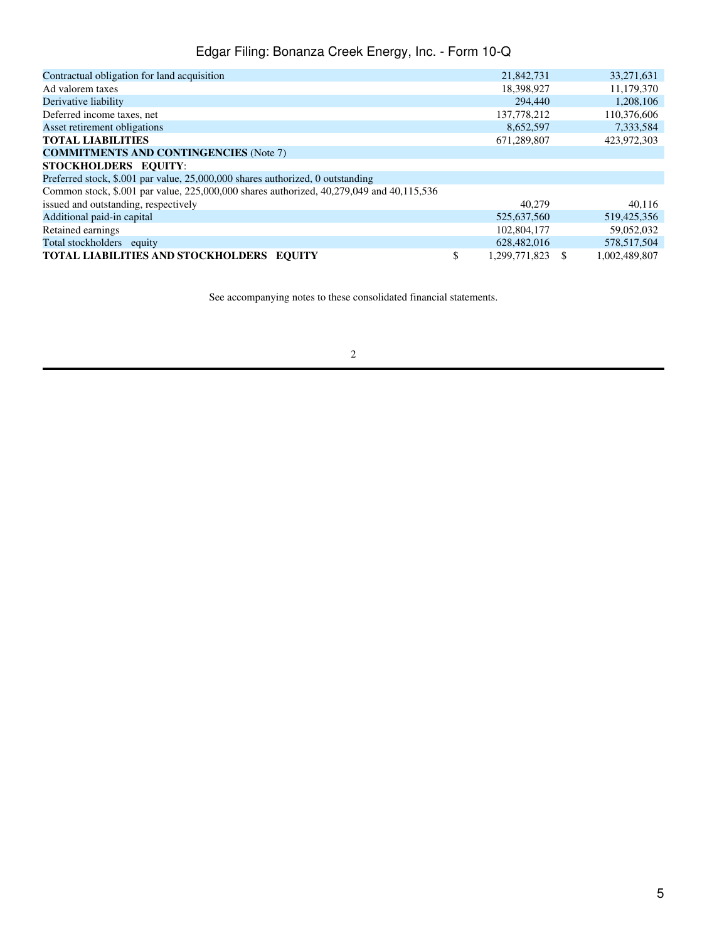| Contractual obligation for land acquisition                                              | 21,842,731          | 33,271,631    |
|------------------------------------------------------------------------------------------|---------------------|---------------|
| Ad valorem taxes                                                                         | 18,398,927          | 11,179,370    |
| Derivative liability                                                                     | 294,440             | 1,208,106     |
| Deferred income taxes, net                                                               | 137,778,212         | 110,376,606   |
| Asset retirement obligations                                                             | 8,652,597           | 7,333,584     |
| <b>TOTAL LIABILITIES</b>                                                                 | 671,289,807         | 423,972,303   |
| <b>COMMITMENTS AND CONTINGENCIES (Note 7)</b>                                            |                     |               |
| STOCKHOLDERS EQUITY:                                                                     |                     |               |
| Preferred stock, \$.001 par value, 25,000,000 shares authorized, 0 outstanding           |                     |               |
| Common stock, \$.001 par value, 225,000,000 shares authorized, 40,279,049 and 40,115,536 |                     |               |
| issued and outstanding, respectively                                                     | 40.279              | 40.116        |
| Additional paid-in capital                                                               | 525,637,560         | 519,425,356   |
| Retained earnings                                                                        | 102,804,177         | 59,052,032    |
| Total stockholders equity                                                                | 628,482,016         | 578,517,504   |
| <b>TOTAL LIABILITIES AND STOCKHOLDERS EOUITY</b>                                         | \$<br>1.299.771.823 | 1.002.489.807 |

See accompanying notes to these consolidated financial statements.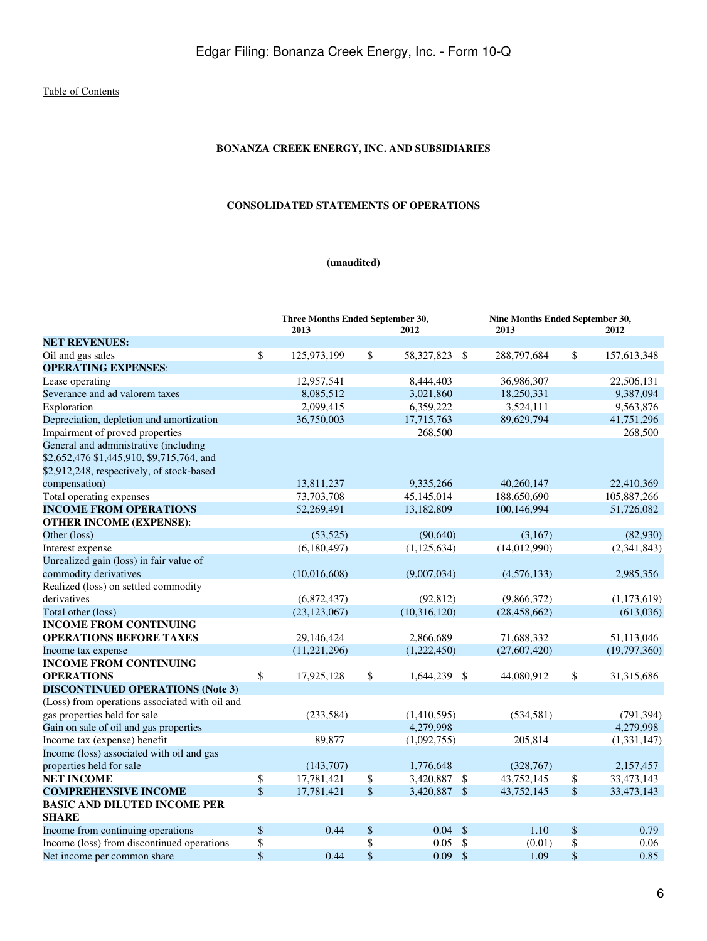# **BONANZA CREEK ENERGY, INC. AND SUBSIDIARIES**

# **CONSOLIDATED STATEMENTS OF OPERATIONS**

# **(unaudited)**

<span id="page-5-0"></span>

|                                                     | Three Months Ended September 30,<br>2013 | 2012                |               | Nine Months Ended September 30,<br>2013 |               | 2012         |
|-----------------------------------------------------|------------------------------------------|---------------------|---------------|-----------------------------------------|---------------|--------------|
| <b>NET REVENUES:</b>                                |                                          |                     |               |                                         |               |              |
| Oil and gas sales                                   | \$<br>125,973,199                        | \$<br>58,327,823 \$ |               | 288,797,684                             | \$            | 157,613,348  |
| <b>OPERATING EXPENSES:</b>                          |                                          |                     |               |                                         |               |              |
| Lease operating                                     | 12,957,541                               | 8,444,403           |               | 36,986,307                              |               | 22,506,131   |
| Severance and ad valorem taxes                      | 8,085,512                                | 3,021,860           |               | 18,250,331                              |               | 9,387,094    |
| Exploration                                         | 2,099,415                                | 6,359,222           |               | 3,524,111                               |               | 9,563,876    |
| Depreciation, depletion and amortization            | 36,750,003                               | 17,715,763          |               | 89,629,794                              |               | 41,751,296   |
| Impairment of proved properties                     |                                          | 268,500             |               |                                         |               | 268,500      |
| General and administrative (including               |                                          |                     |               |                                         |               |              |
| \$2,652,476 \$1,445,910, \$9,715,764, and           |                                          |                     |               |                                         |               |              |
| \$2,912,248, respectively, of stock-based           |                                          |                     |               |                                         |               |              |
| compensation)                                       | 13,811,237                               | 9,335,266           |               | 40,260,147                              |               | 22,410,369   |
| Total operating expenses                            | 73,703,708                               | 45,145,014          |               | 188,650,690                             |               | 105,887,266  |
| <b>INCOME FROM OPERATIONS</b>                       | 52,269,491                               | 13,182,809          |               | 100,146,994                             |               | 51,726,082   |
| <b>OTHER INCOME (EXPENSE):</b>                      |                                          |                     |               |                                         |               |              |
| Other (loss)                                        | (53, 525)                                | (90, 640)           |               | (3,167)                                 |               | (82,930)     |
| Interest expense                                    | (6,180,497)                              | (1,125,634)         |               | (14,012,990)                            |               | (2,341,843)  |
| Unrealized gain (loss) in fair value of             |                                          |                     |               |                                         |               |              |
| commodity derivatives                               | (10,016,608)                             | (9,007,034)         |               | (4,576,133)                             |               | 2,985,356    |
| Realized (loss) on settled commodity                |                                          |                     |               |                                         |               |              |
| derivatives                                         | (6,872,437)                              | (92, 812)           |               | (9,866,372)                             |               | (1,173,619)  |
| Total other (loss)                                  | (23, 123, 067)                           | (10,316,120)        |               | (28, 458, 662)                          |               | (613,036)    |
| <b>INCOME FROM CONTINUING</b>                       |                                          |                     |               |                                         |               |              |
| <b>OPERATIONS BEFORE TAXES</b>                      | 29,146,424                               | 2,866,689           |               | 71,688,332                              |               | 51,113,046   |
| Income tax expense                                  | (11, 221, 296)                           | (1,222,450)         |               | (27,607,420)                            |               | (19,797,360) |
| <b>INCOME FROM CONTINUING</b>                       |                                          |                     |               |                                         |               |              |
| <b>OPERATIONS</b>                                   | \$<br>17,925,128                         | \$<br>1,644,239 \$  |               | 44,080,912                              | \$            | 31,315,686   |
| <b>DISCONTINUED OPERATIONS (Note 3)</b>             |                                          |                     |               |                                         |               |              |
| (Loss) from operations associated with oil and      |                                          |                     |               |                                         |               |              |
| gas properties held for sale                        | (233, 584)                               | (1,410,595)         |               | (534, 581)                              |               | (791, 394)   |
| Gain on sale of oil and gas properties              |                                          | 4.279.998           |               |                                         |               | 4,279,998    |
| Income tax (expense) benefit                        | 89,877                                   | (1,092,755)         |               | 205,814                                 |               | (1,331,147)  |
| Income (loss) associated with oil and gas           |                                          |                     |               |                                         |               |              |
| properties held for sale                            | (143,707)                                | 1,776,648           |               | (328, 767)                              |               | 2,157,457    |
| <b>NET INCOME</b>                                   | \$<br>17,781,421                         | \$<br>3,420,887 \$  |               | 43,752,145                              | \$            | 33,473,143   |
| <b>COMPREHENSIVE INCOME</b>                         | \$<br>17,781,421                         | \$<br>3,420,887 \$  |               | 43,752,145                              | $\frac{1}{2}$ | 33,473,143   |
| <b>BASIC AND DILUTED INCOME PER</b><br><b>SHARE</b> |                                          |                     |               |                                         |               |              |
| Income from continuing operations                   | \$<br>0.44                               | \$<br>$0.04$ \$     |               | 1.10                                    | \$            | 0.79         |
| Income (loss) from discontinued operations          | \$                                       | \$<br>0.05          | $\mathcal{S}$ | (0.01)                                  | \$            | 0.06         |
| Net income per common share                         | \$<br>0.44                               | \$<br>$0.09$ \$     |               | 1.09                                    | \$            | 0.85         |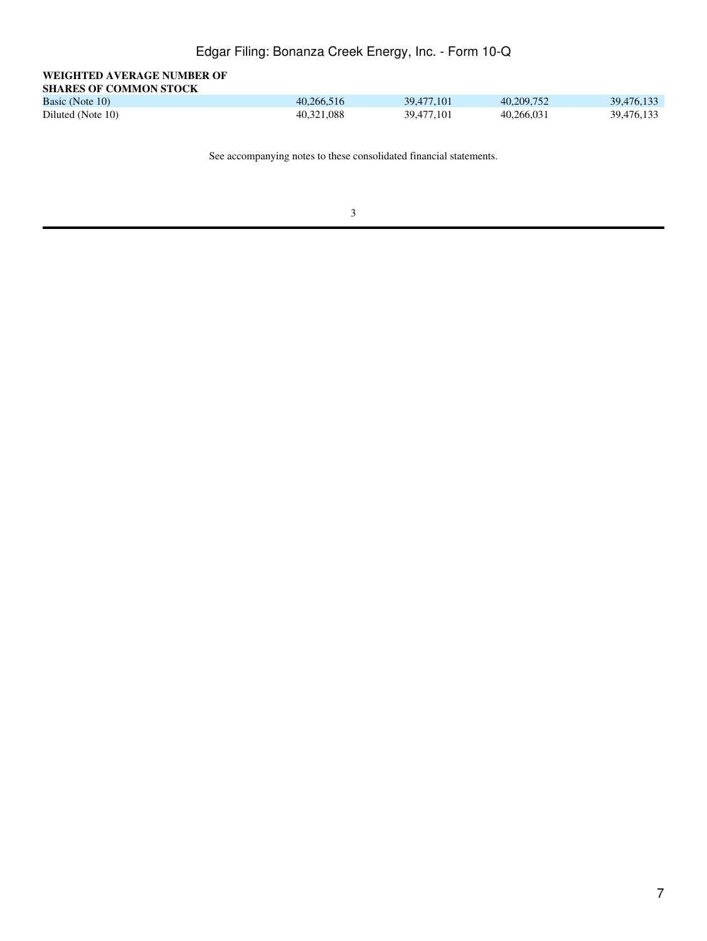| WEIGHTED AVERAGE NUMBER OF    |  |
|-------------------------------|--|
| <b>SHARES OF COMMON STOCK</b> |  |

| Basic (Note 10)   | 40.266.516 | 39.477.101 | 40.209.752 | 39,476,133 |
|-------------------|------------|------------|------------|------------|
| Diluted (Note 10) | 40.321.088 | 39,477,101 | 40.266.031 | 39.476.133 |

See accompanying notes to these consolidated financial statements.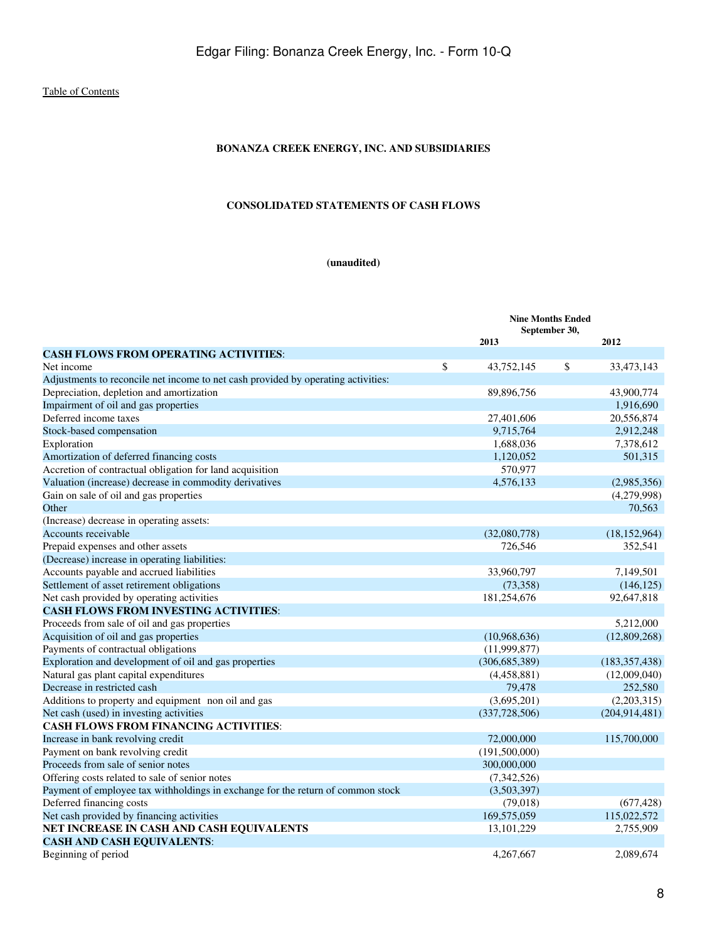# **BONANZA CREEK ENERGY, INC. AND SUBSIDIARIES**

### **CONSOLIDATED STATEMENTS OF CASH FLOWS**

# **(unaudited)**

<span id="page-7-0"></span>

|                                                                                   | <b>Nine Months Ended</b><br>September 30, |                 |    |                 |
|-----------------------------------------------------------------------------------|-------------------------------------------|-----------------|----|-----------------|
|                                                                                   |                                           | 2013            |    | 2012            |
| <b>CASH FLOWS FROM OPERATING ACTIVITIES:</b>                                      |                                           |                 |    |                 |
| Net income                                                                        | \$                                        | 43,752,145      | \$ | 33,473,143      |
| Adjustments to reconcile net income to net cash provided by operating activities: |                                           |                 |    |                 |
| Depreciation, depletion and amortization                                          |                                           | 89,896,756      |    | 43,900,774      |
| Impairment of oil and gas properties                                              |                                           |                 |    | 1,916,690       |
| Deferred income taxes                                                             |                                           | 27,401,606      |    | 20,556,874      |
| Stock-based compensation                                                          |                                           | 9,715,764       |    | 2,912,248       |
| Exploration                                                                       |                                           | 1,688,036       |    | 7,378,612       |
| Amortization of deferred financing costs                                          |                                           | 1,120,052       |    | 501,315         |
| Accretion of contractual obligation for land acquisition                          |                                           | 570,977         |    |                 |
| Valuation (increase) decrease in commodity derivatives                            |                                           | 4,576,133       |    | (2,985,356)     |
| Gain on sale of oil and gas properties                                            |                                           |                 |    | (4,279,998)     |
| Other                                                                             |                                           |                 |    | 70,563          |
| (Increase) decrease in operating assets:                                          |                                           |                 |    |                 |
| Accounts receivable                                                               |                                           | (32,080,778)    |    | (18, 152, 964)  |
| Prepaid expenses and other assets                                                 |                                           | 726,546         |    | 352,541         |
| (Decrease) increase in operating liabilities:                                     |                                           |                 |    |                 |
| Accounts payable and accrued liabilities                                          |                                           | 33,960,797      |    | 7,149,501       |
| Settlement of asset retirement obligations                                        |                                           | (73,358)        |    | (146, 125)      |
| Net cash provided by operating activities                                         |                                           | 181,254,676     |    | 92,647,818      |
| <b>CASH FLOWS FROM INVESTING ACTIVITIES:</b>                                      |                                           |                 |    |                 |
| Proceeds from sale of oil and gas properties                                      |                                           |                 |    | 5,212,000       |
| Acquisition of oil and gas properties                                             |                                           | (10,968,636)    |    | (12,809,268)    |
| Payments of contractual obligations                                               |                                           | (11,999,877)    |    |                 |
| Exploration and development of oil and gas properties                             |                                           | (306, 685, 389) |    | (183, 357, 438) |
| Natural gas plant capital expenditures                                            |                                           | (4,458,881)     |    | (12,009,040)    |
| Decrease in restricted cash                                                       |                                           | 79,478          |    | 252,580         |
| Additions to property and equipment non oil and gas                               |                                           | (3,695,201)     |    | (2,203,315)     |
| Net cash (used) in investing activities                                           |                                           | (337,728,506)   |    | (204, 914, 481) |
| <b>CASH FLOWS FROM FINANCING ACTIVITIES:</b>                                      |                                           |                 |    |                 |
| Increase in bank revolving credit                                                 |                                           | 72,000,000      |    | 115,700,000     |
| Payment on bank revolving credit                                                  |                                           | (191,500,000)   |    |                 |
| Proceeds from sale of senior notes                                                |                                           | 300,000,000     |    |                 |
| Offering costs related to sale of senior notes                                    |                                           | (7,342,526)     |    |                 |
| Payment of employee tax withholdings in exchange for the return of common stock   |                                           | (3,503,397)     |    |                 |
| Deferred financing costs                                                          |                                           | (79, 018)       |    | (677, 428)      |
| Net cash provided by financing activities                                         |                                           | 169,575,059     |    | 115,022,572     |
| NET INCREASE IN CASH AND CASH EQUIVALENTS                                         |                                           | 13, 101, 229    |    | 2,755,909       |
| <b>CASH AND CASH EQUIVALENTS:</b>                                                 |                                           |                 |    |                 |
| Beginning of period                                                               |                                           | 4.267.667       |    | 2.089.674       |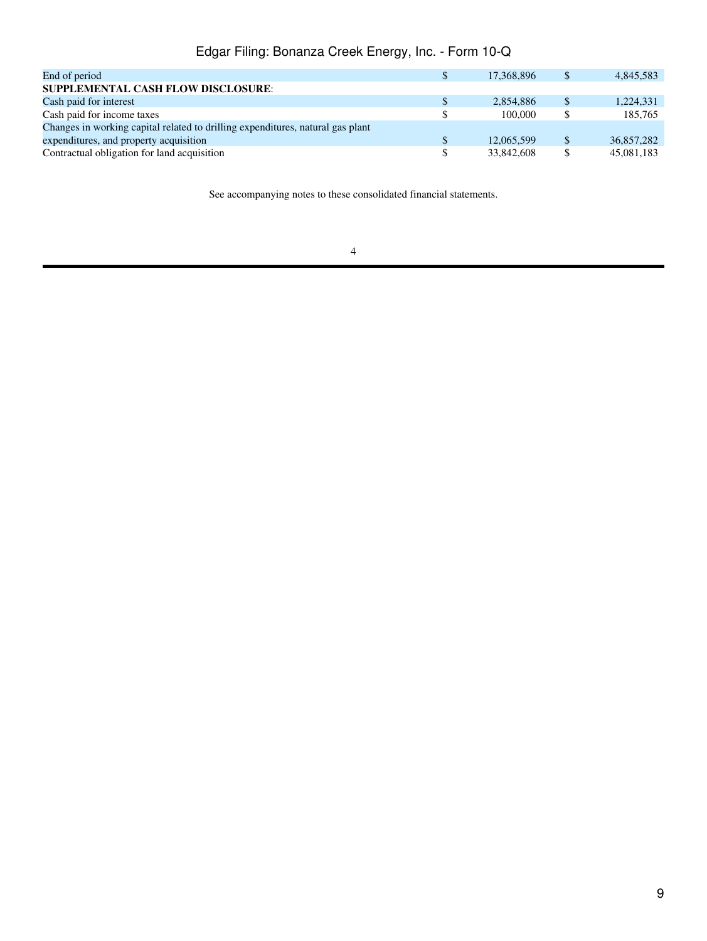| End of period                                                                  | \$ | 17.368.896 | 4,845,583       |
|--------------------------------------------------------------------------------|----|------------|-----------------|
| SUPPLEMENTAL CASH FLOW DISCLOSURE:                                             |    |            |                 |
| Cash paid for interest                                                         | S  | 2,854,886  | \$<br>1,224,331 |
| Cash paid for income taxes                                                     |    | 100,000    | 185,765         |
| Changes in working capital related to drilling expenditures, natural gas plant |    |            |                 |
| expenditures, and property acquisition                                         | \$ | 12,065,599 | 36,857,282      |
| Contractual obligation for land acquisition                                    | \$ | 33,842,608 | 45,081,183      |
|                                                                                |    |            |                 |

See accompanying notes to these consolidated financial statements.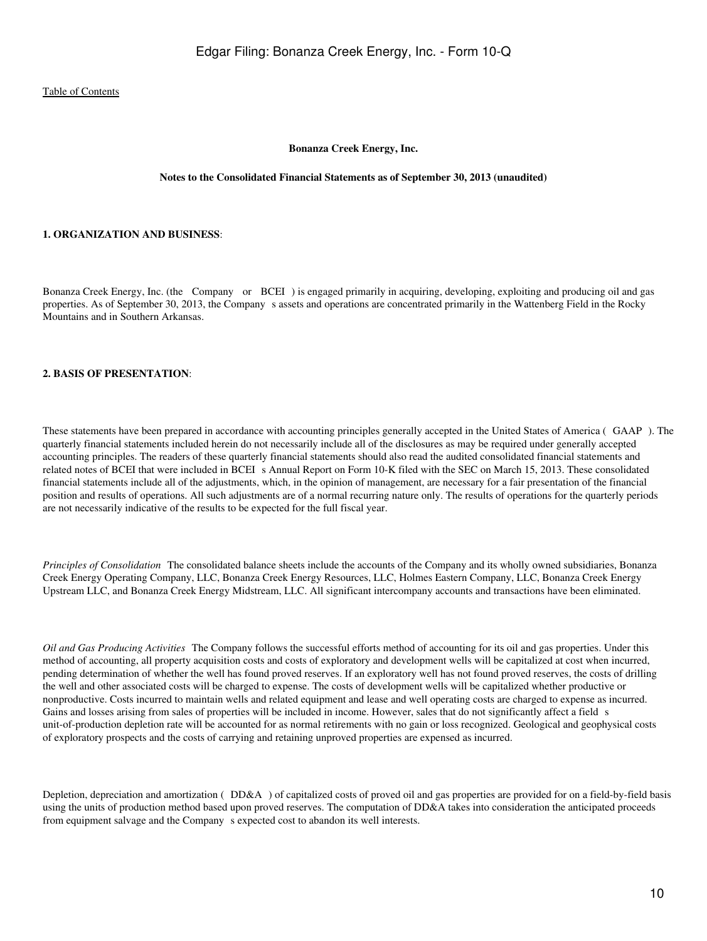#### **Bonanza Creek Energy, Inc.**

#### **Notes to the Consolidated Financial Statements as of September 30, 2013 (unaudited)**

#### <span id="page-9-0"></span>**1. ORGANIZATION AND BUSINESS**:

Bonanza Creek Energy, Inc. (the Company or BCEI) is engaged primarily in acquiring, developing, exploiting and producing oil and gas properties. As of September 30, 2013, the Company s assets and operations are concentrated primarily in the Wattenberg Field in the Rocky Mountains and in Southern Arkansas.

#### **2. BASIS OF PRESENTATION**:

These statements have been prepared in accordance with accounting principles generally accepted in the United States of America (GAAP). The quarterly financial statements included herein do not necessarily include all of the disclosures as may be required under generally accepted accounting principles. The readers of these quarterly financial statements should also read the audited consolidated financial statements and related notes of BCEI that were included in BCEI s Annual Report on Form 10-K filed with the SEC on March 15, 2013. These consolidated financial statements include all of the adjustments, which, in the opinion of management, are necessary for a fair presentation of the financial position and results of operations. All such adjustments are of a normal recurring nature only. The results of operations for the quarterly periods are not necessarily indicative of the results to be expected for the full fiscal year.

*Principles of Consolidation* The consolidated balance sheets include the accounts of the Company and its wholly owned subsidiaries, Bonanza Creek Energy Operating Company, LLC, Bonanza Creek Energy Resources, LLC, Holmes Eastern Company, LLC, Bonanza Creek Energy Upstream LLC, and Bonanza Creek Energy Midstream, LLC. All significant intercompany accounts and transactions have been eliminated.

*Oil and Gas Producing Activities* The Company follows the successful efforts method of accounting for its oil and gas properties. Under this method of accounting, all property acquisition costs and costs of exploratory and development wells will be capitalized at cost when incurred, pending determination of whether the well has found proved reserves. If an exploratory well has not found proved reserves, the costs of drilling the well and other associated costs will be charged to expense. The costs of development wells will be capitalized whether productive or nonproductive. Costs incurred to maintain wells and related equipment and lease and well operating costs are charged to expense as incurred. Gains and losses arising from sales of properties will be included in income. However, sales that do not significantly affect a field s unit-of-production depletion rate will be accounted for as normal retirements with no gain or loss recognized. Geological and geophysical costs of exploratory prospects and the costs of carrying and retaining unproved properties are expensed as incurred.

Depletion, depreciation and amortization (DD&A) of capitalized costs of proved oil and gas properties are provided for on a field-by-field basis using the units of production method based upon proved reserves. The computation of DD&A takes into consideration the anticipated proceeds from equipment salvage and the Company s expected cost to abandon its well interests.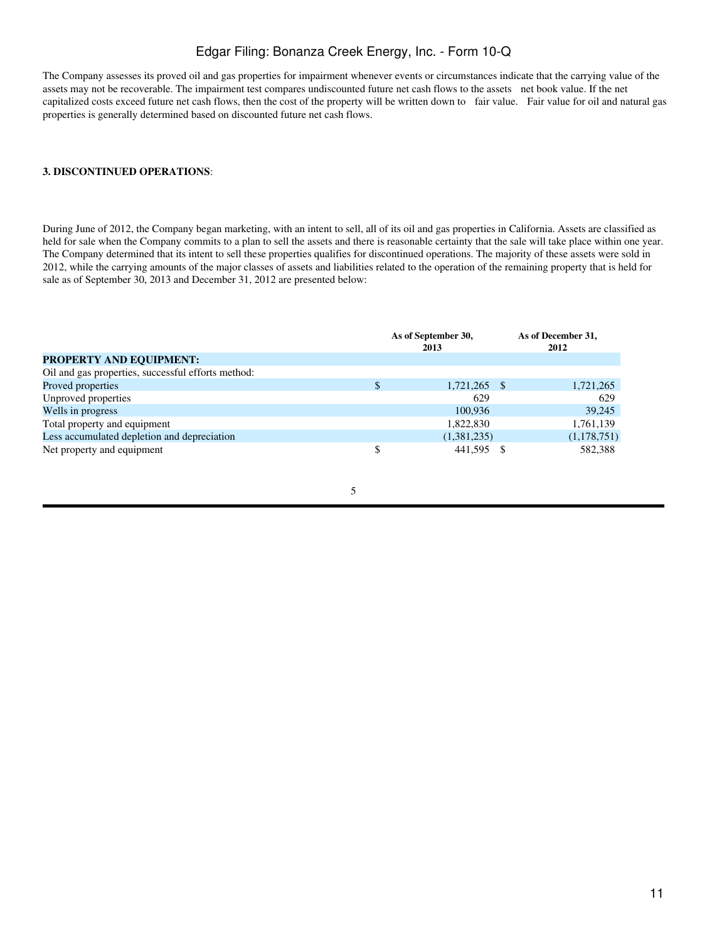The Company assesses its proved oil and gas properties for impairment whenever events or circumstances indicate that the carrying value of the assets may not be recoverable. The impairment test compares undiscounted future net cash flows to the assets net book value. If the net capitalized costs exceed future net cash flows, then the cost of the property will be written down to fair value. Fair value for oil and natural gas properties is generally determined based on discounted future net cash flows.

#### **3. DISCONTINUED OPERATIONS**:

During June of 2012, the Company began marketing, with an intent to sell, all of its oil and gas properties in California. Assets are classified as held for sale when the Company commits to a plan to sell the assets and there is reasonable certainty that the sale will take place within one year. The Company determined that its intent to sell these properties qualifies for discontinued operations. The majority of these assets were sold in 2012, while the carrying amounts of the major classes of assets and liabilities related to the operation of the remaining property that is held for sale as of September 30, 2013 and December 31, 2012 are presented below:

|                                                    | As of September 30,<br>2013 | As of December 31,<br>2012 |
|----------------------------------------------------|-----------------------------|----------------------------|
| <b>PROPERTY AND EQUIPMENT:</b>                     |                             |                            |
| Oil and gas properties, successful efforts method: |                             |                            |
| Proved properties                                  | 1,721,265 \$                | 1,721,265                  |
| Unproved properties                                | 629                         | 629                        |
| Wells in progress                                  | 100.936                     | 39.245                     |
| Total property and equipment                       | 1,822,830                   | 1,761,139                  |
| Less accumulated depletion and depreciation        | (1,381,235)                 | (1,178,751)                |
| Net property and equipment                         | 441,595                     | 582,388                    |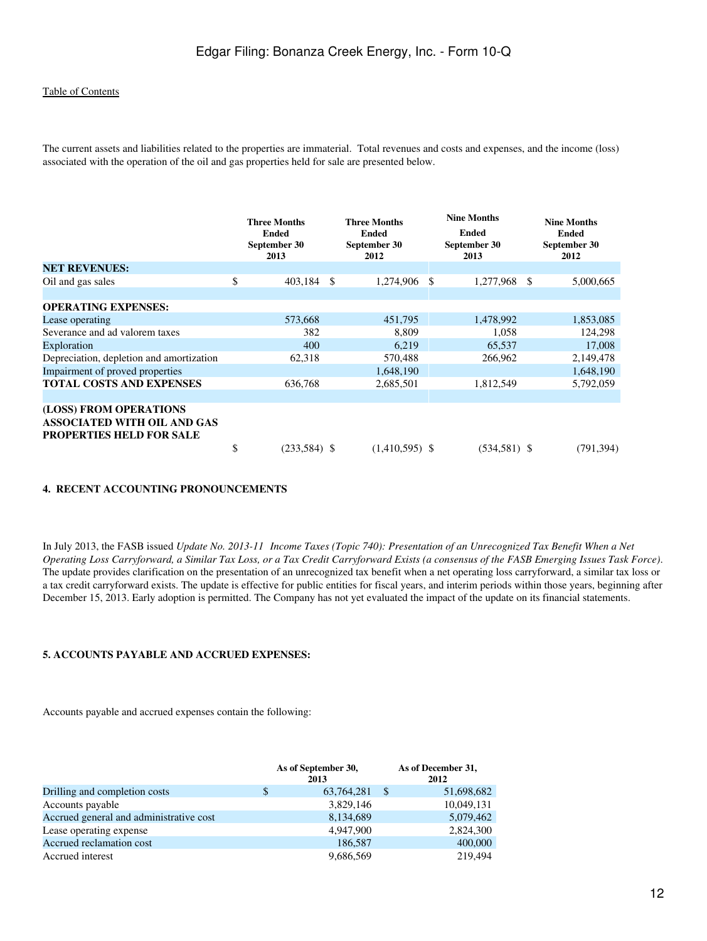The current assets and liabilities related to the properties are immaterial. Total revenues and costs and expenses, and the income (loss) associated with the operation of the oil and gas properties held for sale are presented below.

|                                                                                                 | <b>Three Months</b><br><b>Ended</b><br>September 30<br>2013 |               | <b>Three Months</b><br><b>Ended</b><br>September 30<br>2012 |   | <b>Nine Months</b><br>Ended<br>September 30<br>2013 |   | <b>Nine Months</b><br><b>Ended</b><br>September 30<br>2012 |
|-------------------------------------------------------------------------------------------------|-------------------------------------------------------------|---------------|-------------------------------------------------------------|---|-----------------------------------------------------|---|------------------------------------------------------------|
| <b>NET REVENUES:</b>                                                                            |                                                             |               |                                                             |   |                                                     |   |                                                            |
| Oil and gas sales                                                                               | \$<br>403,184                                               | <sup>\$</sup> | 1,274,906                                                   | S | 1,277,968                                           | S | 5,000,665                                                  |
| <b>OPERATING EXPENSES:</b>                                                                      |                                                             |               |                                                             |   |                                                     |   |                                                            |
| Lease operating                                                                                 | 573,668                                                     |               | 451,795                                                     |   | 1,478,992                                           |   | 1,853,085                                                  |
| Severance and ad valorem taxes                                                                  | 382                                                         |               | 8,809                                                       |   | 1,058                                               |   | 124,298                                                    |
| Exploration                                                                                     | 400                                                         |               | 6,219                                                       |   | 65,537                                              |   | 17,008                                                     |
| Depreciation, depletion and amortization                                                        | 62,318                                                      |               | 570,488                                                     |   | 266,962                                             |   | 2,149,478                                                  |
| Impairment of proved properties                                                                 |                                                             |               | 1,648,190                                                   |   |                                                     |   | 1,648,190                                                  |
| <b>TOTAL COSTS AND EXPENSES</b>                                                                 | 636,768                                                     |               | 2,685,501                                                   |   | 1,812,549                                           |   | 5,792,059                                                  |
| (LOSS) FROM OPERATIONS<br><b>ASSOCIATED WITH OIL AND GAS</b><br><b>PROPERTIES HELD FOR SALE</b> |                                                             |               |                                                             |   |                                                     |   |                                                            |
|                                                                                                 | \$<br>$(233,584)$ \$                                        |               | $(1,410,595)$ \$                                            |   | $(534, 581)$ \$                                     |   | (791, 394)                                                 |

#### **4. RECENT ACCOUNTING PRONOUNCEMENTS**

In July 2013, the FASB issued *Update No. 2013-11 Income Taxes (Topic 740): Presentation of an Unrecognized Tax Benefit When a Net Operating Loss Carryforward, a Similar Tax Loss, or a Tax Credit Carryforward Exists (a consensus of the FASB Emerging Issues Task Force)*. The update provides clarification on the presentation of an unrecognized tax benefit when a net operating loss carryforward, a similar tax loss or a tax credit carryforward exists. The update is effective for public entities for fiscal years, and interim periods within those years, beginning after December 15, 2013. Early adoption is permitted. The Company has not yet evaluated the impact of the update on its financial statements.

#### **5. ACCOUNTS PAYABLE AND ACCRUED EXPENSES:**

Accounts payable and accrued expenses contain the following:

|                                         |   | As of September 30,<br>2013 |    | As of December 31,<br>2012 |
|-----------------------------------------|---|-----------------------------|----|----------------------------|
| Drilling and completion costs           | S | 63,764,281                  | -S | 51,698,682                 |
| Accounts payable                        |   | 3,829,146                   |    | 10,049,131                 |
| Accrued general and administrative cost |   | 8,134,689                   |    | 5,079,462                  |
| Lease operating expense                 |   | 4,947,900                   |    | 2,824,300                  |
| Accrued reclamation cost                |   | 186,587                     |    | 400,000                    |
| Accrued interest                        |   | 9,686,569                   |    | 219,494                    |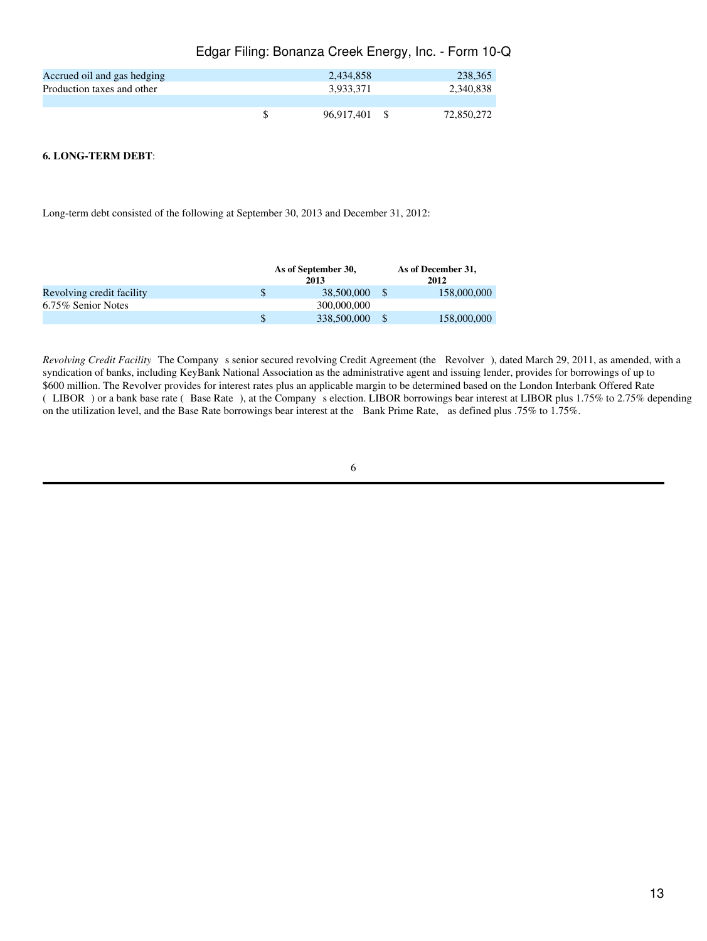|                             | Edgar Filing: Bonanza Creek Energy, Inc. - Form 10-Q |            |
|-----------------------------|------------------------------------------------------|------------|
| Accrued oil and gas hedging | 2.434.858                                            | 238,365    |
| Production taxes and other  | 3.933.371                                            | 2.340.838  |
|                             |                                                      |            |
|                             | 96.917.401 \$                                        | 72,850,272 |

#### **6. LONG-TERM DEBT**:

Long-term debt consisted of the following at September 30, 2013 and December 31, 2012:

|                           | As of September 30, |  | As of December 31, |
|---------------------------|---------------------|--|--------------------|
|                           | 2013                |  | 2012               |
| Revolving credit facility | \$<br>38,500,000    |  | 158,000,000        |
| 6.75% Senior Notes        | 300,000,000         |  |                    |
|                           | \$<br>338,500,000   |  | 158,000,000        |

*Revolving Credit Facility* The Company s senior secured revolving Credit Agreement (the Revolver), dated March 29, 2011, as amended, with a syndication of banks, including KeyBank National Association as the administrative agent and issuing lender, provides for borrowings of up to \$600 million. The Revolver provides for interest rates plus an applicable margin to be determined based on the London Interbank Offered Rate (LIBOR) or a bank base rate (Base Rate), at the Company s election. LIBOR borrowings bear interest at LIBOR plus 1.75% to 2.75% depending on the utilization level, and the Base Rate borrowings bear interest at the Bank Prime Rate, as defined plus .75% to 1.75%.

| ۰. | × |  |  |
|----|---|--|--|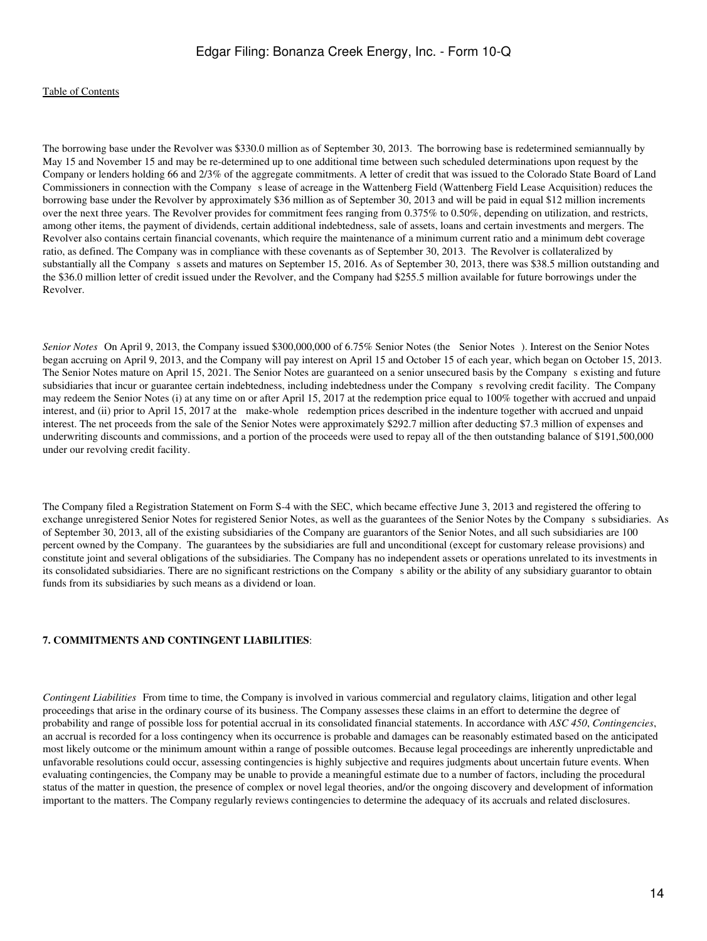#### [Table of Contents](#page-2-0)

The borrowing base under the Revolver was \$330.0 million as of September 30, 2013. The borrowing base is redetermined semiannually by May 15 and November 15 and may be re-determined up to one additional time between such scheduled determinations upon request by the Company or lenders holding 66 and 2/3% of the aggregate commitments. A letter of credit that was issued to the Colorado State Board of Land Commissioners in connection with the Company s lease of acreage in the Wattenberg Field (Wattenberg Field Lease Acquisition) reduces the borrowing base under the Revolver by approximately \$36 million as of September 30, 2013 and will be paid in equal \$12 million increments over the next three years. The Revolver provides for commitment fees ranging from 0.375% to 0.50%, depending on utilization, and restricts, among other items, the payment of dividends, certain additional indebtedness, sale of assets, loans and certain investments and mergers. The Revolver also contains certain financial covenants, which require the maintenance of a minimum current ratio and a minimum debt coverage ratio, as defined. The Company was in compliance with these covenants as of September 30, 2013. The Revolver is collateralized by substantially all the Company s assets and matures on September 15, 2016. As of September 30, 2013, there was \$38.5 million outstanding and the \$36.0 million letter of credit issued under the Revolver, and the Company had \$255.5 million available for future borrowings under the Revolver.

*Senior Notes* On April 9, 2013, the Company issued \$300,000,000 of 6.75% Senior Notes (the Senior Notes). Interest on the Senior Notes began accruing on April 9, 2013, and the Company will pay interest on April 15 and October 15 of each year, which began on October 15, 2013. The Senior Notes mature on April 15, 2021. The Senior Notes are guaranteed on a senior unsecured basis by the Companys existing and future subsidiaries that incur or guarantee certain indebtedness, including indebtedness under the Companys revolving credit facility. The Company may redeem the Senior Notes (i) at any time on or after April 15, 2017 at the redemption price equal to 100% together with accrued and unpaid interest, and (ii) prior to April 15, 2017 at the make-whole redemption prices described in the indenture together with accrued and unpaid interest. The net proceeds from the sale of the Senior Notes were approximately \$292.7 million after deducting \$7.3 million of expenses and underwriting discounts and commissions, and a portion of the proceeds were used to repay all of the then outstanding balance of \$191,500,000 under our revolving credit facility.

The Company filed a Registration Statement on Form S-4 with the SEC, which became effective June 3, 2013 and registered the offering to exchange unregistered Senior Notes for registered Senior Notes, as well as the guarantees of the Senior Notes by the Company s subsidiaries. As of September 30, 2013, all of the existing subsidiaries of the Company are guarantors of the Senior Notes, and all such subsidiaries are 100 percent owned by the Company. The guarantees by the subsidiaries are full and unconditional (except for customary release provisions) and constitute joint and several obligations of the subsidiaries. The Company has no independent assets or operations unrelated to its investments in its consolidated subsidiaries. There are no significant restrictions on the Company s ability or the ability of any subsidiary guarantor to obtain funds from its subsidiaries by such means as a dividend or loan.

#### **7. COMMITMENTS AND CONTINGENT LIABILITIES**:

*Contingent Liabilities* From time to time, the Company is involved in various commercial and regulatory claims, litigation and other legal proceedings that arise in the ordinary course of its business. The Company assesses these claims in an effort to determine the degree of probability and range of possible loss for potential accrual in its consolidated financial statements. In accordance with *ASC 450*, *Contingencies*, an accrual is recorded for a loss contingency when its occurrence is probable and damages can be reasonably estimated based on the anticipated most likely outcome or the minimum amount within a range of possible outcomes. Because legal proceedings are inherently unpredictable and unfavorable resolutions could occur, assessing contingencies is highly subjective and requires judgments about uncertain future events. When evaluating contingencies, the Company may be unable to provide a meaningful estimate due to a number of factors, including the procedural status of the matter in question, the presence of complex or novel legal theories, and/or the ongoing discovery and development of information important to the matters. The Company regularly reviews contingencies to determine the adequacy of its accruals and related disclosures.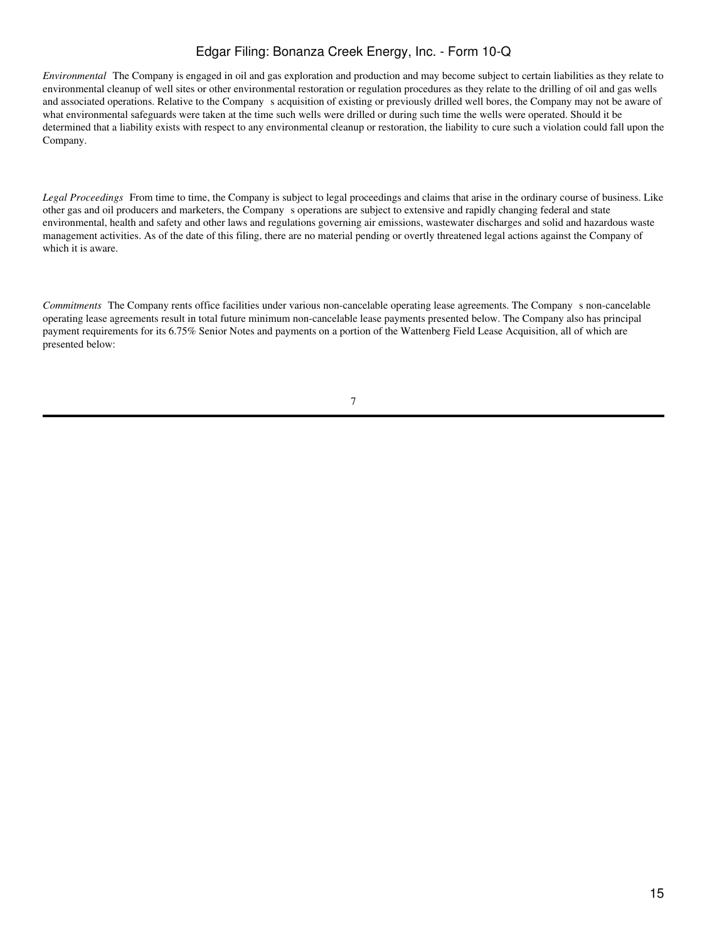*Environmental*The Company is engaged in oil and gas exploration and production and may become subject to certain liabilities as they relate to environmental cleanup of well sites or other environmental restoration or regulation procedures as they relate to the drilling of oil and gas wells and associated operations. Relative to the Company s acquisition of existing or previously drilled well bores, the Company may not be aware of what environmental safeguards were taken at the time such wells were drilled or during such time the wells were operated. Should it be determined that a liability exists with respect to any environmental cleanup or restoration, the liability to cure such a violation could fall upon the Company.

Legal Proceedings From time to time, the Company is subject to legal proceedings and claims that arise in the ordinary course of business. Like other gas and oil producers and marketers, the Companys operations are subject to extensive and rapidly changing federal and state environmental, health and safety and other laws and regulations governing air emissions, wastewater discharges and solid and hazardous waste management activities. As of the date of this filing, there are no material pending or overtly threatened legal actions against the Company of which it is aware.

*Commitments* The Company rents office facilities under various non-cancelable operating lease agreements. The Company s non-cancelable operating lease agreements result in total future minimum non-cancelable lease payments presented below. The Company also has principal payment requirements for its 6.75% Senior Notes and payments on a portion of the Wattenberg Field Lease Acquisition, all of which are presented below: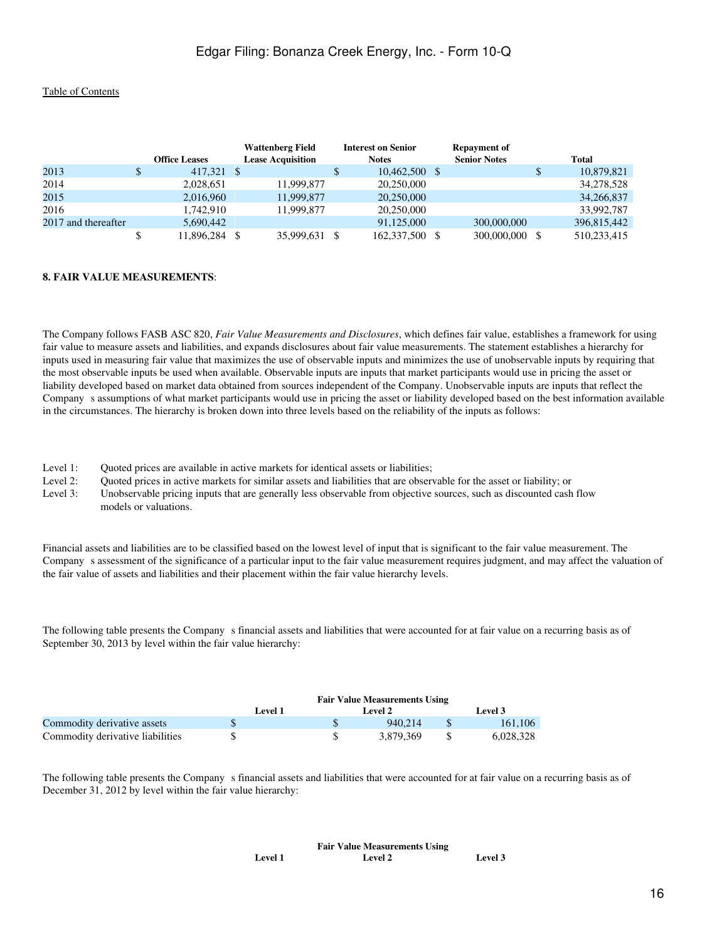|                     | <b>Office Leases</b> | <b>Wattenberg Field</b><br><b>Lease Acquisition</b> | <b>Interest on Senior</b><br><b>Notes</b> | <b>Repayment of</b><br><b>Senior Notes</b> | <b>Total</b> |
|---------------------|----------------------|-----------------------------------------------------|-------------------------------------------|--------------------------------------------|--------------|
| 2013                | \$<br>417,321 \$     |                                                     | \$<br>$10,462,500$ \$                     |                                            | 10,879,821   |
| 2014                | 2,028,651            | 11,999,877                                          | 20,250,000                                |                                            | 34,278,528   |
| 2015                | 2,016,960            | 11,999,877                                          | 20,250,000                                |                                            | 34,266,837   |
| 2016                | 1.742.910            | 11,999,877                                          | 20,250,000                                |                                            | 33,992,787   |
| 2017 and thereafter | 5,690,442            |                                                     | 91,125,000                                | 300,000,000                                | 396,815,442  |
|                     | 11,896,284           | 35,999,631                                          | 162,337,500                               | 300,000,000                                | 510,233,415  |

#### **8. FAIR VALUE MEASUREMENTS**:

The Company follows FASB ASC 820, *Fair Value Measurements and Disclosures*, which defines fair value, establishes a framework for using fair value to measure assets and liabilities, and expands disclosures about fair value measurements. The statement establishes a hierarchy for inputs used in measuring fair value that maximizes the use of observable inputs and minimizes the use of unobservable inputs by requiring that the most observable inputs be used when available. Observable inputs are inputs that market participants would use in pricing the asset or liability developed based on market data obtained from sources independent of the Company. Unobservable inputs are inputs that reflect the Companys assumptions of what market participants would use in pricing the asset or liability developed based on the best information available in the circumstances. The hierarchy is broken down into three levels based on the reliability of the inputs as follows:

Level 1: Quoted prices are available in active markets for identical assets or liabilities;

Level 2: Quoted prices in active markets for similar assets and liabilities that are observable for the asset or liability; or

Level 3: Unobservable pricing inputs that are generally less observable from objective sources, such as discounted cash flow models or valuations.

Financial assets and liabilities are to be classified based on the lowest level of input that is significant to the fair value measurement. The Companys assessment of the significance of a particular input to the fair value measurement requires judgment, and may affect the valuation of the fair value of assets and liabilities and their placement within the fair value hierarchy levels.

The following table presents the Company s financial assets and liabilities that were accounted for at fair value on a recurring basis as of September 30, 2013 by level within the fair value hierarchy:

|                                  | <b>Fair Value Measurements Using</b> |  |           |  |           |  |  |
|----------------------------------|--------------------------------------|--|-----------|--|-----------|--|--|
|                                  | Level 1                              |  | Level 2   |  | Level 3   |  |  |
| Commodity derivative assets      |                                      |  | 940.214   |  | 161.106   |  |  |
| Commodity derivative liabilities |                                      |  | 3.879.369 |  | 6.028.328 |  |  |

The following table presents the Company s financial assets and liabilities that were accounted for at fair value on a recurring basis as of December 31, 2012 by level within the fair value hierarchy:

|                | <b>Fair Value Measurements Using</b> |         |
|----------------|--------------------------------------|---------|
| <b>Level 1</b> | <b>Level 2</b>                       | Level 3 |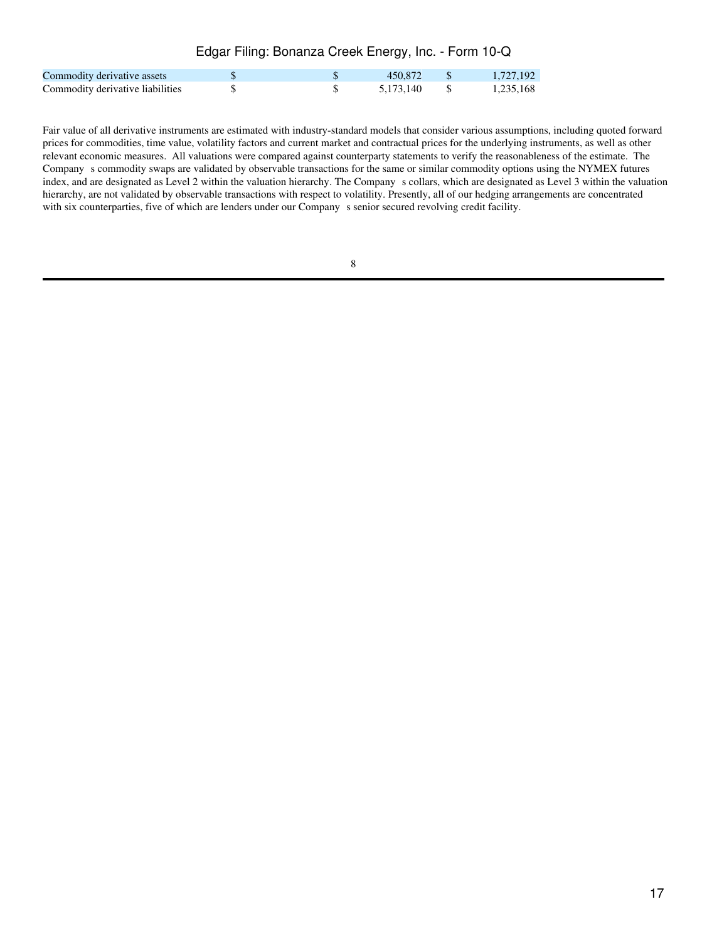| Commodity derivative assets      |  | 450.872 \$   | 1.727.192 |
|----------------------------------|--|--------------|-----------|
| Commodity derivative liabilities |  | 5.173.140 \$ | 1.235.168 |

Fair value of all derivative instruments are estimated with industry-standard models that consider various assumptions, including quoted forward prices for commodities, time value, volatility factors and current market and contractual prices for the underlying instruments, as well as other relevant economic measures. All valuations were compared against counterparty statements to verify the reasonableness of the estimate. The Companys commodity swaps are validated by observable transactions for the same or similar commodity options using the NYMEX futures index, and are designated as Level 2 within the valuation hierarchy. The Company s collars, which are designated as Level 3 within the valuation hierarchy, are not validated by observable transactions with respect to volatility. Presently, all of our hedging arrangements are concentrated with six counterparties, five of which are lenders under our Company s senior secured revolving credit facility.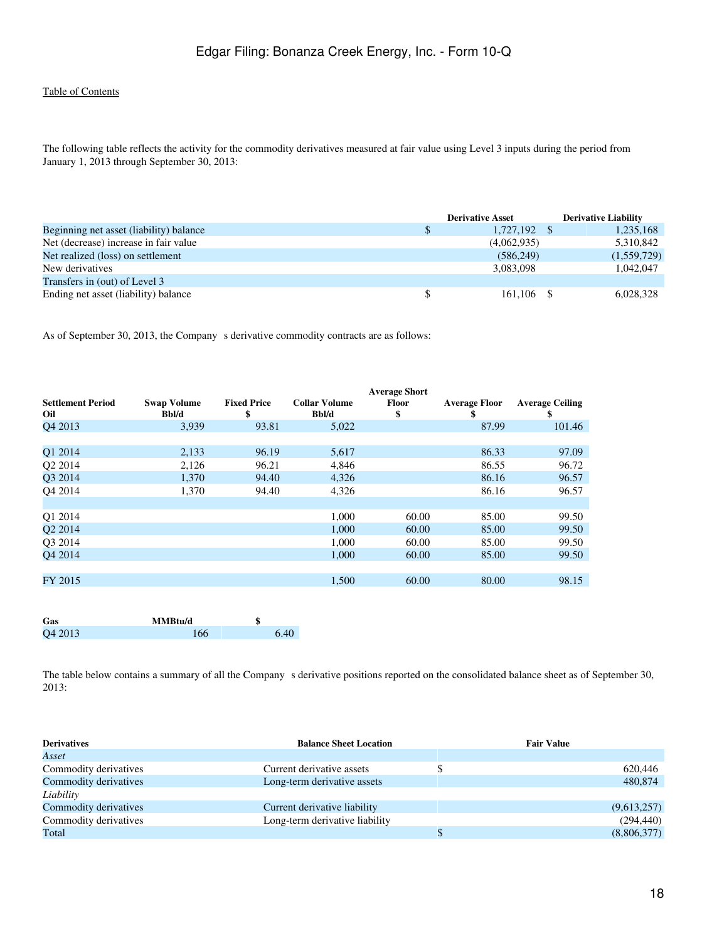The following table reflects the activity for the commodity derivatives measured at fair value using Level 3 inputs during the period from January 1, 2013 through September 30, 2013:

|                                         |              | <b>Derivative Asset</b> | <b>Derivative Liability</b> |             |
|-----------------------------------------|--------------|-------------------------|-----------------------------|-------------|
| Beginning net asset (liability) balance | $\mathbb{S}$ | 1,727,192               |                             | 1,235,168   |
| Net (decrease) increase in fair value   |              | (4,062,935)             |                             | 5,310,842   |
| Net realized (loss) on settlement       |              | (586, 249)              |                             | (1,559,729) |
| New derivatives                         |              | 3,083,098               |                             | 1.042.047   |
| Transfers in (out) of Level 3           |              |                         |                             |             |
| Ending net asset (liability) balance    | \$           | 161.106                 |                             | 6,028,328   |

As of September 30, 2013, the Company s derivative commodity contracts are as follows:

|                                 |                             |                          |                               | <b>Average Short</b> |                            |                              |
|---------------------------------|-----------------------------|--------------------------|-------------------------------|----------------------|----------------------------|------------------------------|
| <b>Settlement Period</b><br>Oil | <b>Swap Volume</b><br>Bbl/d | <b>Fixed Price</b><br>\$ | <b>Collar Volume</b><br>Bbl/d | <b>Floor</b><br>\$   | <b>Average Floor</b><br>\$ | <b>Average Ceiling</b><br>\$ |
| O <sub>4</sub> 2013             | 3,939                       | 93.81                    | 5,022                         |                      | 87.99                      | 101.46                       |
|                                 |                             |                          |                               |                      |                            |                              |
| Q1 2014                         | 2,133                       | 96.19                    | 5,617                         |                      | 86.33                      | 97.09                        |
| Q2 2014                         | 2,126                       | 96.21                    | 4,846                         |                      | 86.55                      | 96.72                        |
| Q3 2014                         | 1,370                       | 94.40                    | 4,326                         |                      | 86.16                      | 96.57                        |
| O <sub>4</sub> 2014             | 1,370                       | 94.40                    | 4,326                         |                      | 86.16                      | 96.57                        |
|                                 |                             |                          |                               |                      |                            |                              |
| O1 2014                         |                             |                          | 1,000                         | 60.00                | 85.00                      | 99.50                        |
| O <sub>2</sub> 2014             |                             |                          | 1,000                         | 60.00                | 85.00                      | 99.50                        |
| Q3 2014                         |                             |                          | 1,000                         | 60.00                | 85.00                      | 99.50                        |
| O <sub>4</sub> 2014             |                             |                          | 1.000                         | 60.00                | 85.00                      | 99.50                        |
|                                 |                             |                          |                               |                      |                            |                              |
| FY 2015                         |                             |                          | 1,500                         | 60.00                | 80.00                      | 98.15                        |
|                                 |                             |                          |                               |                      |                            |                              |

| Gas     | MMBtu/d | J    |
|---------|---------|------|
| Q4 2013 | 166     | 6.40 |

The table below contains a summary of all the Company s derivative positions reported on the consolidated balance sheet as of September 30, 2013:

| <b>Derivatives</b>    | <b>Balance Sheet Location</b>  | <b>Fair Value</b> |
|-----------------------|--------------------------------|-------------------|
| Asset                 |                                |                   |
| Commodity derivatives | Current derivative assets      | 620,446           |
| Commodity derivatives | Long-term derivative assets    | 480,874           |
| Liability             |                                |                   |
| Commodity derivatives | Current derivative liability   | (9,613,257)       |
| Commodity derivatives | Long-term derivative liability | (294, 440)        |
| Total                 |                                | (8,806,377)       |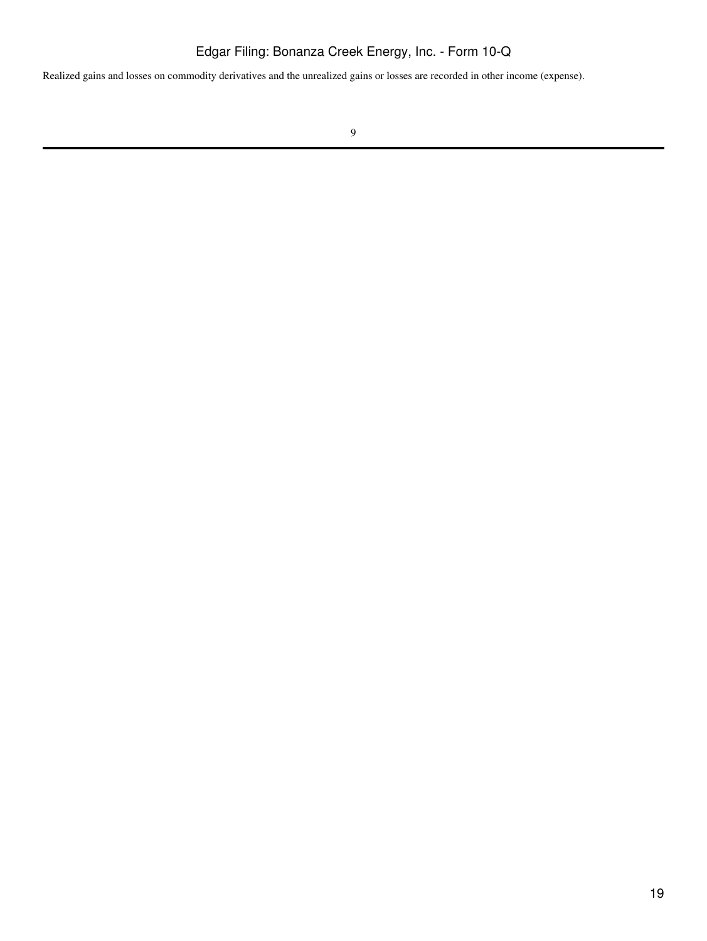Realized gains and losses on commodity derivatives and the unrealized gains or losses are recorded in other income (expense).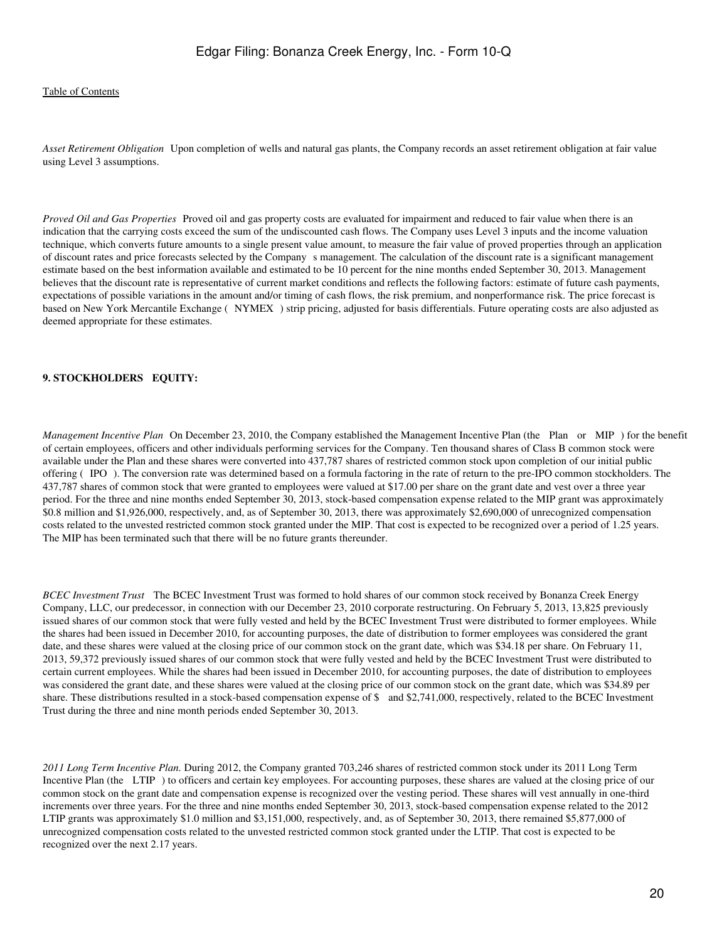*Asset Retirement Obligation*Upon completion of wells and natural gas plants, the Company records an asset retirement obligation at fair value using Level 3 assumptions.

*Proved Oil and Gas Properties* Proved oil and gas property costs are evaluated for impairment and reduced to fair value when there is an indication that the carrying costs exceed the sum of the undiscounted cash flows. The Company uses Level 3 inputs and the income valuation technique, which converts future amounts to a single present value amount, to measure the fair value of proved properties through an application of discount rates and price forecasts selected by the Companys management. The calculation of the discount rate is a significant management estimate based on the best information available and estimated to be 10 percent for the nine months ended September 30, 2013. Management believes that the discount rate is representative of current market conditions and reflects the following factors: estimate of future cash payments, expectations of possible variations in the amount and/or timing of cash flows, the risk premium, and nonperformance risk. The price forecast is based on New York Mercantile Exchange (NYMEX) strip pricing, adjusted for basis differentials. Future operating costs are also adjusted as deemed appropriate for these estimates.

#### **9. STOCKHOLDERS EQUITY:**

*Management Incentive Plan* On December 23, 2010, the Company established the Management Incentive Plan (the Plan or MIP) for the benefit of certain employees, officers and other individuals performing services for the Company. Ten thousand shares of Class B common stock were available under the Plan and these shares were converted into 437,787 shares of restricted common stock upon completion of our initial public offering (IPO). The conversion rate was determined based on a formula factoring in the rate of return to the pre-IPO common stockholders. The 437,787 shares of common stock that were granted to employees were valued at \$17.00 per share on the grant date and vest over a three year period. For the three and nine months ended September 30, 2013, stock-based compensation expense related to the MIP grant was approximately \$0.8 million and \$1,926,000, respectively, and, as of September 30, 2013, there was approximately \$2,690,000 of unrecognized compensation costs related to the unvested restricted common stock granted under the MIP. That cost is expected to be recognized over a period of 1.25 years. The MIP has been terminated such that there will be no future grants thereunder.

*BCEC Investment Trust* The BCEC Investment Trust was formed to hold shares of our common stock received by Bonanza Creek Energy Company, LLC, our predecessor, in connection with our December 23, 2010 corporate restructuring. On February 5, 2013, 13,825 previously issued shares of our common stock that were fully vested and held by the BCEC Investment Trust were distributed to former employees. While the shares had been issued in December 2010, for accounting purposes, the date of distribution to former employees was considered the grant date, and these shares were valued at the closing price of our common stock on the grant date, which was \$34.18 per share. On February 11, 2013, 59,372 previously issued shares of our common stock that were fully vested and held by the BCEC Investment Trust were distributed to certain current employees. While the shares had been issued in December 2010, for accounting purposes, the date of distribution to employees was considered the grant date, and these shares were valued at the closing price of our common stock on the grant date, which was \$34.89 per share. These distributions resulted in a stock-based compensation expense of \$ and \$2,741,000, respectively, related to the BCEC Investment Trust during the three and nine month periods ended September 30, 2013.

*2011 Long Term Incentive Plan.* During 2012, the Company granted 703,246 shares of restricted common stock under its 2011 Long Term Incentive Plan (the LTIP) to officers and certain key employees. For accounting purposes, these shares are valued at the closing price of our common stock on the grant date and compensation expense is recognized over the vesting period. These shares will vest annually in one-third increments over three years. For the three and nine months ended September 30, 2013, stock-based compensation expense related to the 2012 LTIP grants was approximately \$1.0 million and \$3,151,000, respectively, and, as of September 30, 2013, there remained \$5,877,000 of unrecognized compensation costs related to the unvested restricted common stock granted under the LTIP. That cost is expected to be recognized over the next 2.17 years.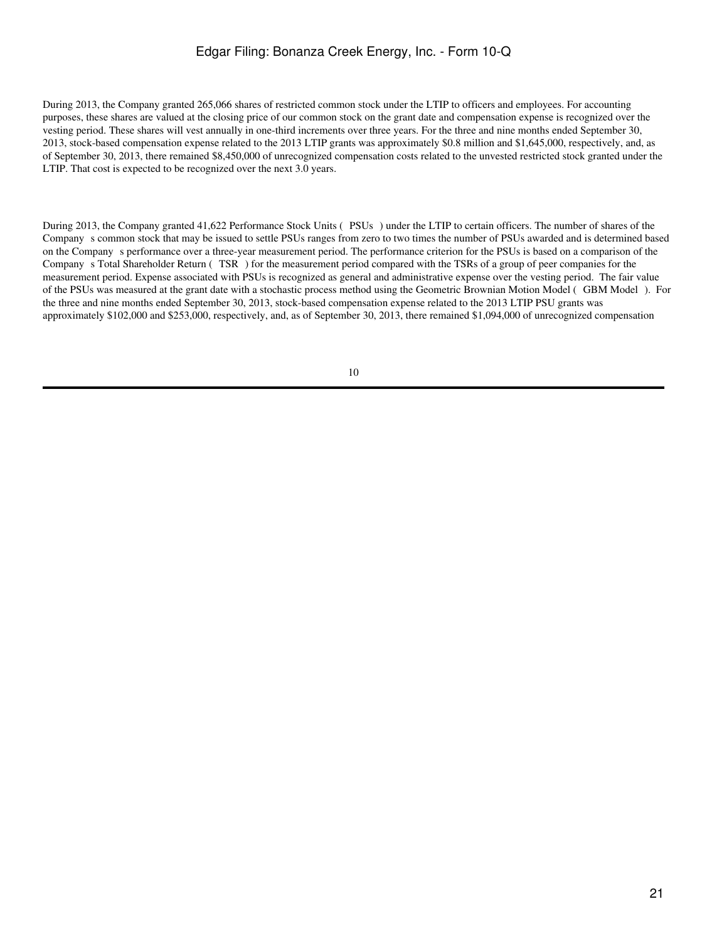During 2013, the Company granted 265,066 shares of restricted common stock under the LTIP to officers and employees. For accounting purposes, these shares are valued at the closing price of our common stock on the grant date and compensation expense is recognized over the vesting period. These shares will vest annually in one-third increments over three years. For the three and nine months ended September 30, 2013, stock-based compensation expense related to the 2013 LTIP grants was approximately \$0.8 million and \$1,645,000, respectively, and, as of September 30, 2013, there remained \$8,450,000 of unrecognized compensation costs related to the unvested restricted stock granted under the LTIP. That cost is expected to be recognized over the next 3.0 years.

During 2013, the Company granted 41,622 Performance Stock Units (PSUs) under the LTIP to certain officers. The number of shares of the Companys common stock that may be issued to settle PSUs ranges from zero to two times the number of PSUs awarded and is determined based on the Companys performance over a three-year measurement period. The performance criterion for the PSUs is based on a comparison of the Companys Total Shareholder Return (TSR) for the measurement period compared with the TSRs of a group of peer companies for the measurement period. Expense associated with PSUs is recognized as general and administrative expense over the vesting period. The fair value of the PSUs was measured at the grant date with a stochastic process method using the Geometric Brownian Motion Model (GBM Model). For the three and nine months ended September 30, 2013, stock-based compensation expense related to the 2013 LTIP PSU grants was approximately \$102,000 and \$253,000, respectively, and, as of September 30, 2013, there remained \$1,094,000 of unrecognized compensation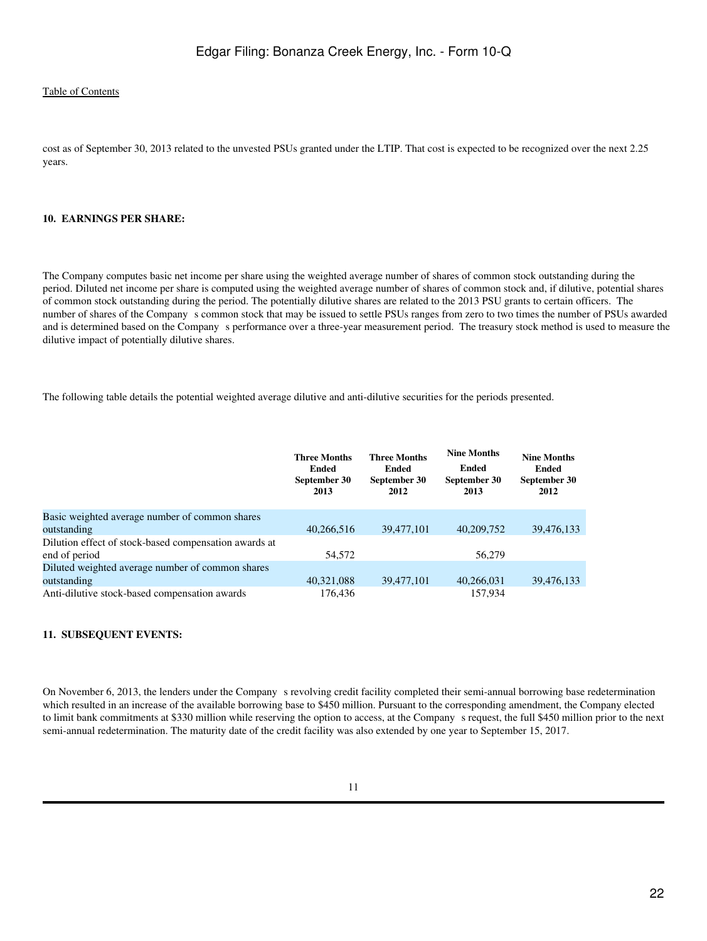cost as of September 30, 2013 related to the unvested PSUs granted under the LTIP. That cost is expected to be recognized over the next 2.25 years.

#### **10. EARNINGS PER SHARE:**

The Company computes basic net income per share using the weighted average number of shares of common stock outstanding during the period. Diluted net income per share is computed using the weighted average number of shares of common stock and, if dilutive, potential shares of common stock outstanding during the period. The potentially dilutive shares are related to the 2013 PSU grants to certain officers. The number of shares of the Company s common stock that may be issued to settle PSUs ranges from zero to two times the number of PSUs awarded and is determined based on the Companys performance over a three-year measurement period. The treasury stock method is used to measure the dilutive impact of potentially dilutive shares.

The following table details the potential weighted average dilutive and anti-dilutive securities for the periods presented.

|                                                       | <b>Three Months</b><br>Ended<br>September 30<br>2013 | <b>Three Months</b><br>Ended<br>September 30<br>2012 | <b>Nine Months</b><br>Ended<br>September 30<br>2013 | <b>Nine Months</b><br>Ended<br>September 30<br>2012 |
|-------------------------------------------------------|------------------------------------------------------|------------------------------------------------------|-----------------------------------------------------|-----------------------------------------------------|
| Basic weighted average number of common shares        |                                                      |                                                      |                                                     |                                                     |
| outstanding                                           | 40.266.516                                           | 39,477,101                                           | 40,209,752                                          | 39,476,133                                          |
| Dilution effect of stock-based compensation awards at |                                                      |                                                      |                                                     |                                                     |
| end of period                                         | 54.572                                               |                                                      | 56,279                                              |                                                     |
| Diluted weighted average number of common shares      |                                                      |                                                      |                                                     |                                                     |
| outstanding                                           | 40,321,088                                           | 39,477,101                                           | 40,266,031                                          | 39,476,133                                          |
| Anti-dilutive stock-based compensation awards         | 176.436                                              |                                                      | 157.934                                             |                                                     |

#### **11. SUBSEQUENT EVENTS:**

On November 6, 2013, the lenders under the Company s revolving credit facility completed their semi-annual borrowing base redetermination which resulted in an increase of the available borrowing base to \$450 million. Pursuant to the corresponding amendment, the Company elected to limit bank commitments at \$330 million while reserving the option to access, at the Companys request, the full \$450 million prior to the next semi-annual redetermination. The maturity date of the credit facility was also extended by one year to September 15, 2017.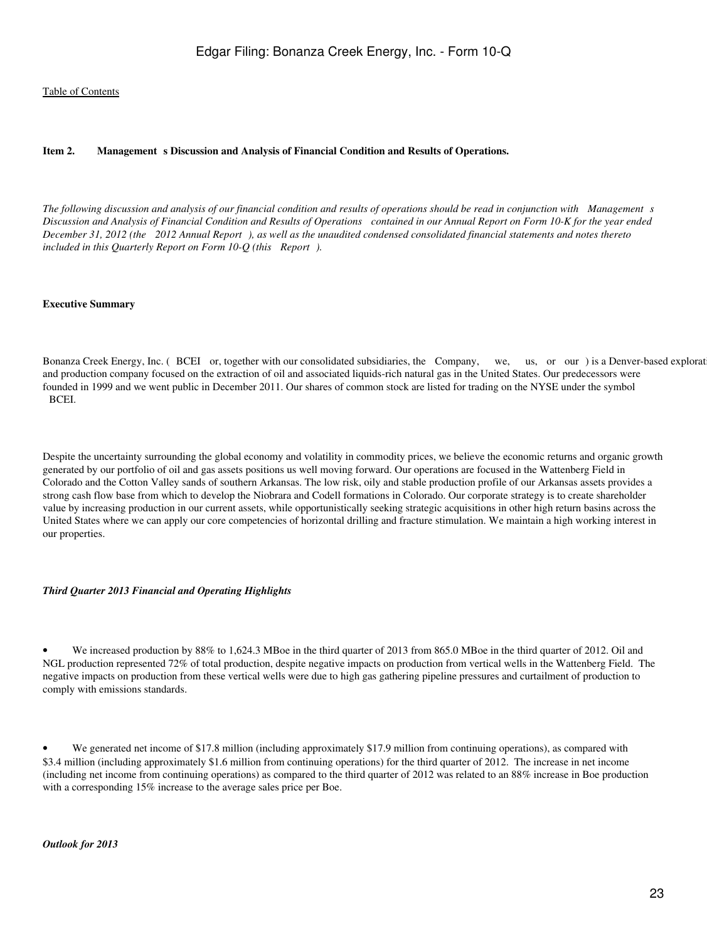#### <span id="page-22-0"></span>Item 2. Management s Discussion and Analysis of Financial Condition and Results of Operations.

The following discussion and analysis of our financial condition and results of operations should be read in conjunction with Management s *Discussion and Analysis of Financial Condition and Results of Operations contained in our Annual Report on Form 10-K for the year ended December 31, 2012 (the 2012 Annual Report), as well as the unaudited condensed consolidated financial statements and notes thereto included in this Quarterly Report on Form 10-Q (this Report).*

#### **Executive Summary**

Bonanza Creek Energy, Inc. (BCEI or, together with our consolidated subsidiaries, the Company, we, us, or our) is a Denver-based explorat and production company focused on the extraction of oil and associated liquids-rich natural gas in the United States. Our predecessors were founded in 1999 and we went public in December 2011. Our shares of common stock are listed for trading on the NYSE under the symbol BCEI.

Despite the uncertainty surrounding the global economy and volatility in commodity prices, we believe the economic returns and organic growth generated by our portfolio of oil and gas assets positions us well moving forward. Our operations are focused in the Wattenberg Field in Colorado and the Cotton Valley sands of southern Arkansas. The low risk, oily and stable production profile of our Arkansas assets provides a strong cash flow base from which to develop the Niobrara and Codell formations in Colorado. Our corporate strategy is to create shareholder value by increasing production in our current assets, while opportunistically seeking strategic acquisitions in other high return basins across the United States where we can apply our core competencies of horizontal drilling and fracture stimulation. We maintain a high working interest in our properties.

#### *Third Quarter 2013 Financial and Operating Highlights*

• We increased production by 88% to 1,624.3 MBoe in the third quarter of 2013 from 865.0 MBoe in the third quarter of 2012. Oil and NGL production represented 72% of total production, despite negative impacts on production from vertical wells in the Wattenberg Field. The negative impacts on production from these vertical wells were due to high gas gathering pipeline pressures and curtailment of production to comply with emissions standards.

• We generated net income of \$17.8 million (including approximately \$17.9 million from continuing operations), as compared with \$3.4 million (including approximately \$1.6 million from continuing operations) for the third quarter of 2012. The increase in net income (including net income from continuing operations) as compared to the third quarter of 2012 was related to an 88% increase in Boe production with a corresponding 15% increase to the average sales price per Boe.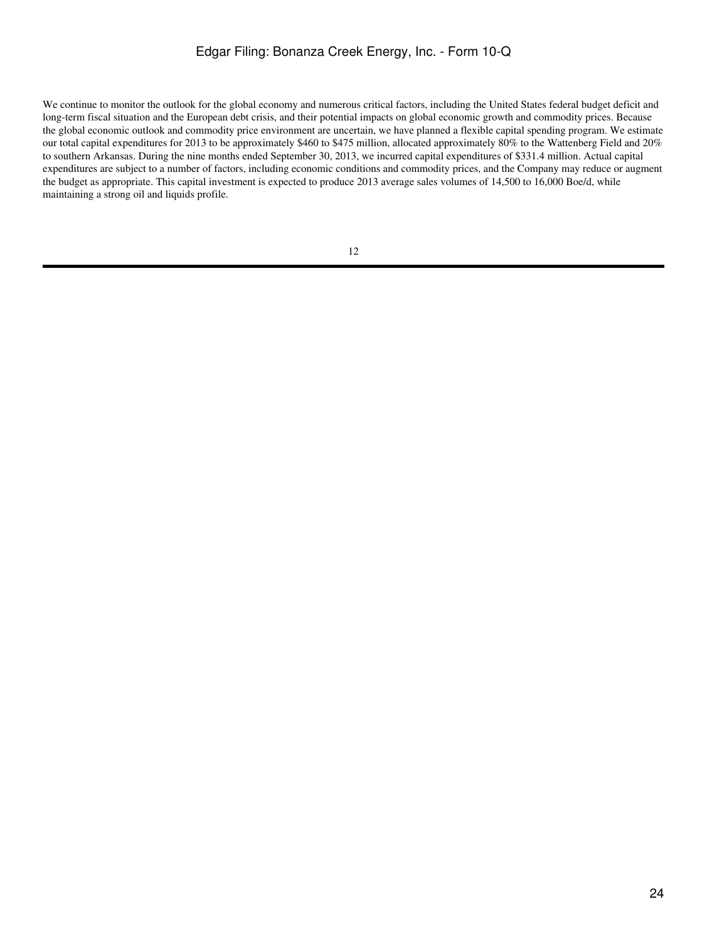We continue to monitor the outlook for the global economy and numerous critical factors, including the United States federal budget deficit and long-term fiscal situation and the European debt crisis, and their potential impacts on global economic growth and commodity prices. Because the global economic outlook and commodity price environment are uncertain, we have planned a flexible capital spending program. We estimate our total capital expenditures for 2013 to be approximately \$460 to \$475 million, allocated approximately 80% to the Wattenberg Field and 20% to southern Arkansas. During the nine months ended September 30, 2013, we incurred capital expenditures of \$331.4 million. Actual capital expenditures are subject to a number of factors, including economic conditions and commodity prices, and the Company may reduce or augment the budget as appropriate. This capital investment is expected to produce 2013 average sales volumes of 14,500 to 16,000 Boe/d, while maintaining a strong oil and liquids profile.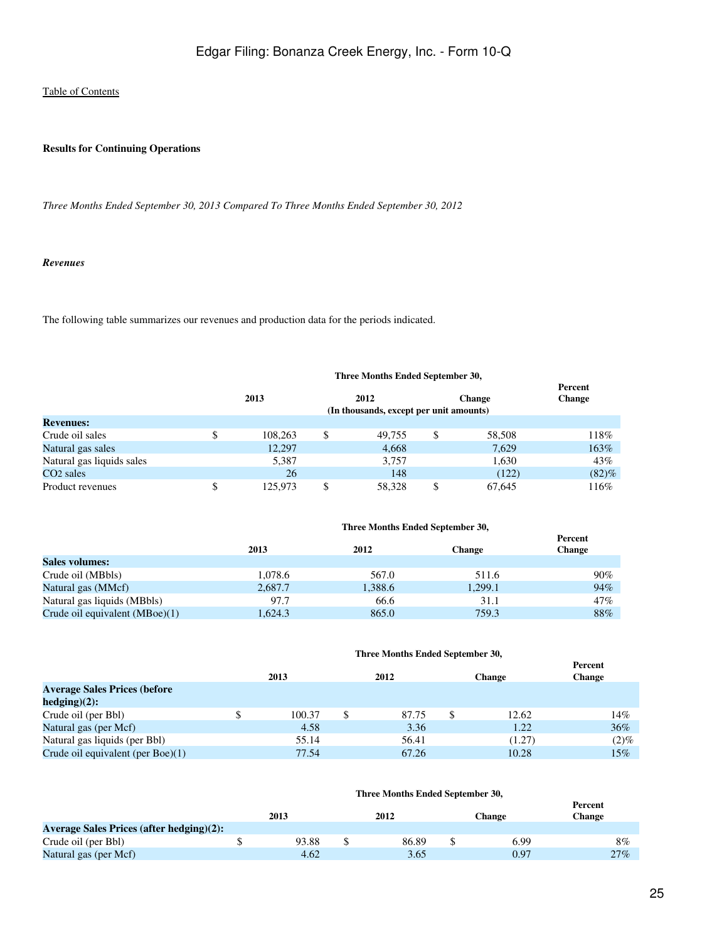#### **Results for Continuing Operations**

*Three Months Ended September 30, 2013 Compared To Three Months Ended September 30, 2012*

#### *Revenues*

The following table summarizes our revenues and production data for the periods indicated.

#### **Three Months Ended September 30, 2013 2012 Change Percent Change (In thousands, except per unit amounts) Revenues:** Crude oil sales \$ 108,263 \$ 49,755 \$ 58,508 118% Natural gas sales 12,297 12,297 4,668 7,629 163% Natural gas liquids sales 5,387 3,757 1,630 43% CO2 sales 26 148 (122) (82)% Product revenues  $$ 125,973 \quad $ 58,328 \quad $ 67,645$  116%

|                                  | Three Months Ended September 30, |         |               |                          |  |
|----------------------------------|----------------------------------|---------|---------------|--------------------------|--|
|                                  | 2013                             | 2012    | <b>Change</b> | Percent<br><b>Change</b> |  |
| <b>Sales volumes:</b>            |                                  |         |               |                          |  |
| Crude oil (MBbls)                | 1,078.6                          | 567.0   | 511.6         | 90%                      |  |
| Natural gas (MMcf)               | 2,687.7                          | 1,388.6 | 1,299.1       | 94%                      |  |
| Natural gas liquids (MBbls)      | 97.7                             | 66.6    | 31.1          | 47%                      |  |
| Crude oil equivalent $(MBoe)(1)$ | 1.624.3                          | 865.0   | 759.3         | 88%                      |  |

|                                      | Three Months Ended September 30, |        |    |       |   |               |                          |
|--------------------------------------|----------------------------------|--------|----|-------|---|---------------|--------------------------|
|                                      |                                  | 2013   |    | 2012  |   | <b>Change</b> | Percent<br><b>Change</b> |
| <b>Average Sales Prices (before</b>  |                                  |        |    |       |   |               |                          |
| $hedging(2)$ :                       |                                  |        |    |       |   |               |                          |
| Crude oil (per Bbl)                  | \$                               | 100.37 | \$ | 87.75 | S | 12.62         | 14%                      |
| Natural gas (per Mcf)                |                                  | 4.58   |    | 3.36  |   | 1.22          | 36%                      |
| Natural gas liquids (per Bbl)        |                                  | 55.14  |    | 56.41 |   | (1.27)        | $(2)\%$                  |
| Crude oil equivalent (per Boe) $(1)$ |                                  | 77.54  |    | 67.26 |   | 10.28         | 15%                      |

|                                                 | 2013  | 2012  | Change | Percent<br><b>Change</b> |
|-------------------------------------------------|-------|-------|--------|--------------------------|
| <b>Average Sales Prices (after hedging)(2):</b> |       |       |        |                          |
| Crude oil (per Bbl)                             | 93.88 | 86.89 | 6.99   | 8%                       |
| Natural gas (per Mcf)                           | 4.62  | 3.65  | 0.97   | 27%                      |

**Three Months Ended September 30,**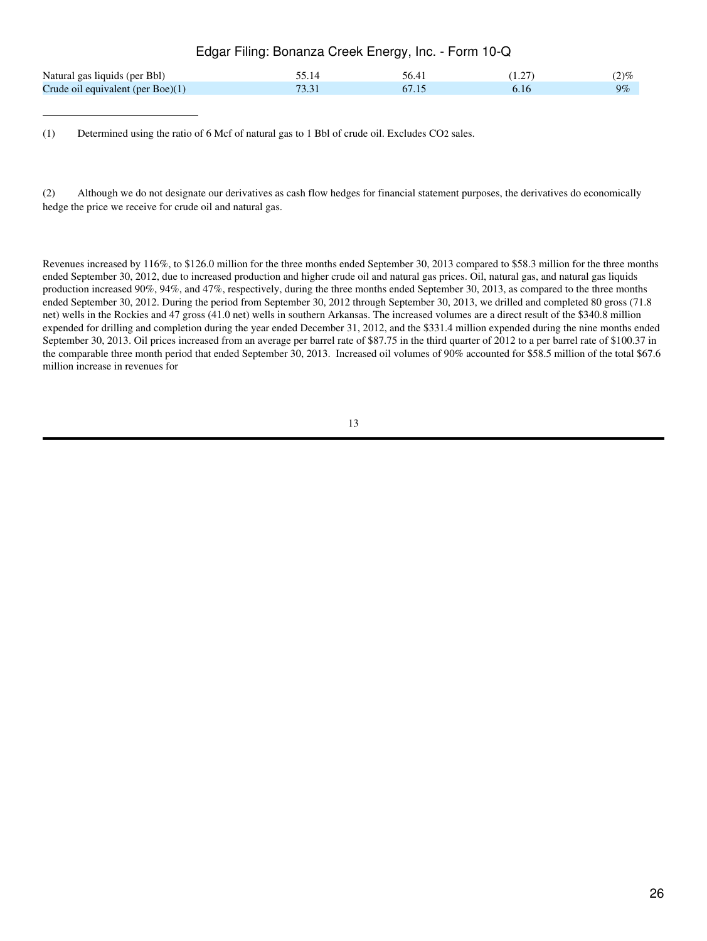| Edgar Filing: Bonanza Creek Energy, Inc. - Form 10-Q |       |       |        |         |  |  |  |  |
|------------------------------------------------------|-------|-------|--------|---------|--|--|--|--|
| Natural gas liquids (per Bbl)                        | 55.14 | 56.41 | (1.27) | $(2)\%$ |  |  |  |  |
| Crude oil equivalent (per Boe) $(1)$                 | 73.31 | 67.15 | 6.16   | $9\%$   |  |  |  |  |

(1) Determined using the ratio of 6 Mcf of natural gas to 1 Bbl of crude oil. Excludes CO2 sales.

(2) Although we do not designate our derivatives as cash flow hedges for financial statement purposes, the derivatives do economically hedge the price we receive for crude oil and natural gas.

Revenues increased by 116%, to \$126.0 million for the three months ended September 30, 2013 compared to \$58.3 million for the three months ended September 30, 2012, due to increased production and higher crude oil and natural gas prices. Oil, natural gas, and natural gas liquids production increased 90%, 94%, and 47%, respectively, during the three months ended September 30, 2013, as compared to the three months ended September 30, 2012. During the period from September 30, 2012 through September 30, 2013, we drilled and completed 80 gross (71.8 net) wells in the Rockies and 47 gross (41.0 net) wells in southern Arkansas. The increased volumes are a direct result of the \$340.8 million expended for drilling and completion during the year ended December 31, 2012, and the \$331.4 million expended during the nine months ended September 30, 2013. Oil prices increased from an average per barrel rate of \$87.75 in the third quarter of 2012 to a per barrel rate of \$100.37 in the comparable three month period that ended September 30, 2013. Increased oil volumes of 90% accounted for \$58.5 million of the total \$67.6 million increase in revenues for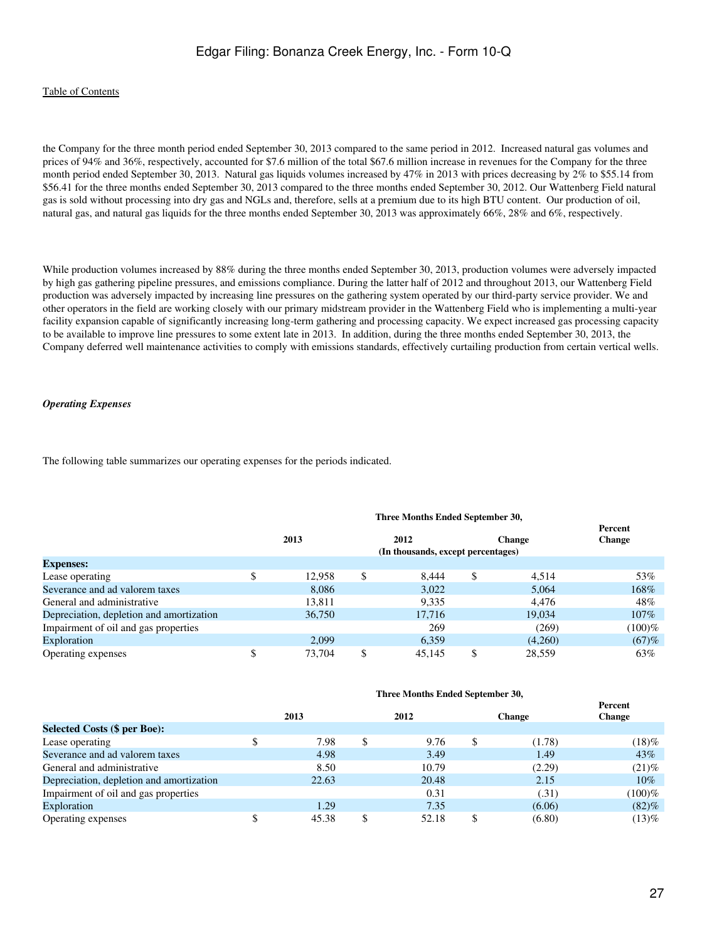#### [Table of Contents](#page-2-0)

the Company for the three month period ended September 30, 2013 compared to the same period in 2012. Increased natural gas volumes and prices of 94% and 36%, respectively, accounted for \$7.6 million of the total \$67.6 million increase in revenues for the Company for the three month period ended September 30, 2013. Natural gas liquids volumes increased by 47% in 2013 with prices decreasing by 2% to \$55.14 from \$56.41 for the three months ended September 30, 2013 compared to the three months ended September 30, 2012. Our Wattenberg Field natural gas is sold without processing into dry gas and NGLs and, therefore, sells at a premium due to its high BTU content. Our production of oil, natural gas, and natural gas liquids for the three months ended September 30, 2013 was approximately 66%, 28% and 6%, respectively.

While production volumes increased by 88% during the three months ended September 30, 2013, production volumes were adversely impacted by high gas gathering pipeline pressures, and emissions compliance. During the latter half of 2012 and throughout 2013, our Wattenberg Field production was adversely impacted by increasing line pressures on the gathering system operated by our third-party service provider. We and other operators in the field are working closely with our primary midstream provider in the Wattenberg Field who is implementing a multi-year facility expansion capable of significantly increasing long-term gathering and processing capacity. We expect increased gas processing capacity to be available to improve line pressures to some extent late in 2013. In addition, during the three months ended September 30, 2013, the Company deferred well maintenance activities to comply with emissions standards, effectively curtailing production from certain vertical wells.

#### *Operating Expenses*

The following table summarizes our operating expenses for the periods indicated.

|                                          | 2013   | 2012                               | <b>Change</b> | Percent<br><b>Change</b> |
|------------------------------------------|--------|------------------------------------|---------------|--------------------------|
|                                          |        |                                    |               |                          |
|                                          |        | (In thousands, except percentages) |               |                          |
| <b>Expenses:</b>                         |        |                                    |               |                          |
| Lease operating                          | 12.958 | \$<br>8.444                        | \$<br>4.514   | 53%                      |
| Severance and ad valorem taxes           | 8.086  | 3,022                              | 5.064         | 168%                     |
| General and administrative               | 13,811 | 9,335                              | 4.476         | 48%                      |
| Depreciation, depletion and amortization | 36,750 | 17,716                             | 19,034        | 107%                     |
| Impairment of oil and gas properties     |        | 269                                | (269)         | $(100)\%$                |
| Exploration                              | 2.099  | 6,359                              | (4,260)       | (67)%                    |
| Operating expenses                       | 73,704 | 45,145                             | 28.559        | 63%                      |

#### **Three Months Ended September 30,**

| Three Months Ended September 30, |  |  |  |
|----------------------------------|--|--|--|
|----------------------------------|--|--|--|

|                                          |       |   |       |               | Percent       |
|------------------------------------------|-------|---|-------|---------------|---------------|
|                                          | 2013  |   | 2012  | <b>Change</b> | <b>Change</b> |
| <b>Selected Costs (\$ per Boe):</b>      |       |   |       |               |               |
| Lease operating                          | 7.98  | S | 9.76  | (1.78)        | $(18)\%$      |
| Severance and ad valorem taxes           | 4.98  |   | 3.49  | 1.49          | 43%           |
| General and administrative               | 8.50  |   | 10.79 | (2.29)        | $(21)$ %      |
| Depreciation, depletion and amortization | 22.63 |   | 20.48 | 2.15          | $10\%$        |
| Impairment of oil and gas properties     |       |   | 0.31  | (.31)         | (100)%        |
| Exploration                              | 1.29  |   | 7.35  | (6.06)        | $(82)\%$      |
| Operating expenses                       | 45.38 |   | 52.18 | (6.80)        | $(13)\%$      |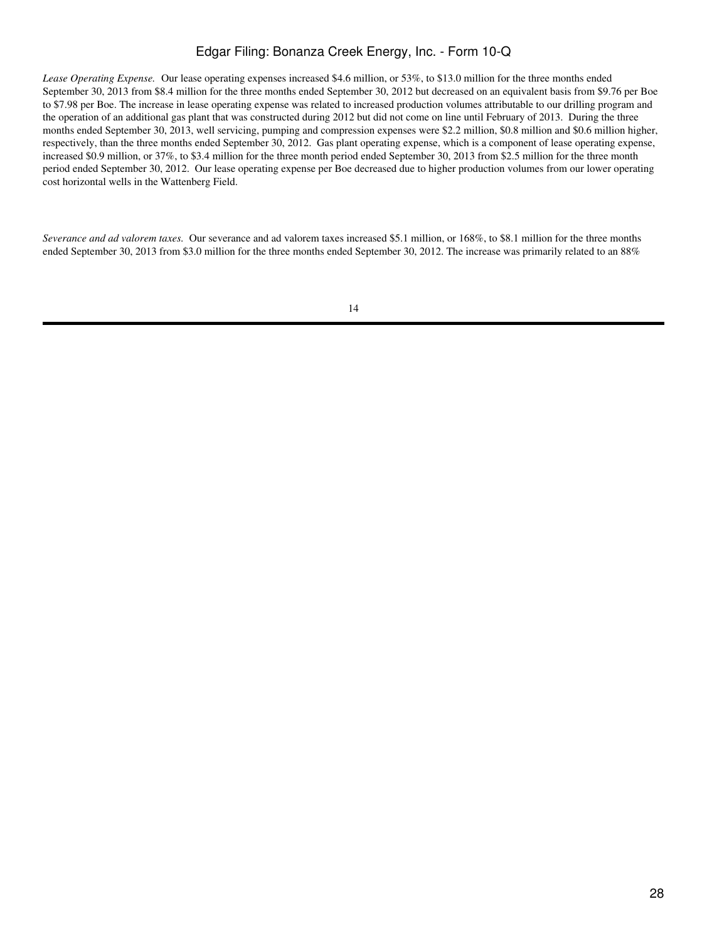*Lease Operating Expense.* Our lease operating expenses increased \$4.6 million, or 53%, to \$13.0 million for the three months ended September 30, 2013 from \$8.4 million for the three months ended September 30, 2012 but decreased on an equivalent basis from \$9.76 per Boe to \$7.98 per Boe. The increase in lease operating expense was related to increased production volumes attributable to our drilling program and the operation of an additional gas plant that was constructed during 2012 but did not come on line until February of 2013. During the three months ended September 30, 2013, well servicing, pumping and compression expenses were \$2.2 million, \$0.8 million and \$0.6 million higher, respectively, than the three months ended September 30, 2012. Gas plant operating expense, which is a component of lease operating expense, increased \$0.9 million, or 37%, to \$3.4 million for the three month period ended September 30, 2013 from \$2.5 million for the three month period ended September 30, 2012. Our lease operating expense per Boe decreased due to higher production volumes from our lower operating cost horizontal wells in the Wattenberg Field.

*Severance and ad valorem taxes.* Our severance and ad valorem taxes increased \$5.1 million, or 168%, to \$8.1 million for the three months ended September 30, 2013 from \$3.0 million for the three months ended September 30, 2012. The increase was primarily related to an 88%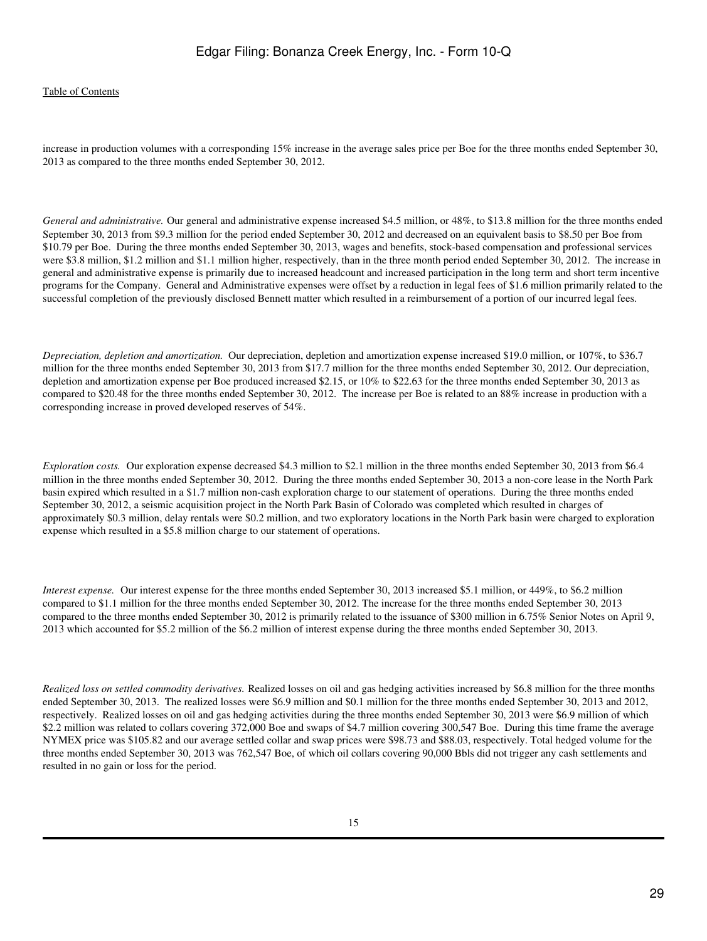#### [Table of Contents](#page-2-0)

increase in production volumes with a corresponding 15% increase in the average sales price per Boe for the three months ended September 30, 2013 as compared to the three months ended September 30, 2012.

*General and administrative.* Our general and administrative expense increased \$4.5 million, or 48%, to \$13.8 million for the three months ended September 30, 2013 from \$9.3 million for the period ended September 30, 2012 and decreased on an equivalent basis to \$8.50 per Boe from \$10.79 per Boe. During the three months ended September 30, 2013, wages and benefits, stock-based compensation and professional services were \$3.8 million, \$1.2 million and \$1.1 million higher, respectively, than in the three month period ended September 30, 2012. The increase in general and administrative expense is primarily due to increased headcount and increased participation in the long term and short term incentive programs for the Company. General and Administrative expenses were offset by a reduction in legal fees of \$1.6 million primarily related to the successful completion of the previously disclosed Bennett matter which resulted in a reimbursement of a portion of our incurred legal fees.

*Depreciation, depletion and amortization.* Our depreciation, depletion and amortization expense increased \$19.0 million, or 107%, to \$36.7 million for the three months ended September 30, 2013 from \$17.7 million for the three months ended September 30, 2012. Our depreciation, depletion and amortization expense per Boe produced increased \$2.15, or 10% to \$22.63 for the three months ended September 30, 2013 as compared to \$20.48 for the three months ended September 30, 2012. The increase per Boe is related to an 88% increase in production with a corresponding increase in proved developed reserves of 54%.

*Exploration costs.* Our exploration expense decreased \$4.3 million to \$2.1 million in the three months ended September 30, 2013 from \$6.4 million in the three months ended September 30, 2012. During the three months ended September 30, 2013 a non-core lease in the North Park basin expired which resulted in a \$1.7 million non-cash exploration charge to our statement of operations. During the three months ended September 30, 2012, a seismic acquisition project in the North Park Basin of Colorado was completed which resulted in charges of approximately \$0.3 million, delay rentals were \$0.2 million, and two exploratory locations in the North Park basin were charged to exploration expense which resulted in a \$5.8 million charge to our statement of operations.

*Interest expense.* Our interest expense for the three months ended September 30, 2013 increased \$5.1 million, or 449%, to \$6.2 million compared to \$1.1 million for the three months ended September 30, 2012. The increase for the three months ended September 30, 2013 compared to the three months ended September 30, 2012 is primarily related to the issuance of \$300 million in 6.75% Senior Notes on April 9, 2013 which accounted for \$5.2 million of the \$6.2 million of interest expense during the three months ended September 30, 2013.

*Realized loss on settled commodity derivatives.* Realized losses on oil and gas hedging activities increased by \$6.8 million for the three months ended September 30, 2013. The realized losses were \$6.9 million and \$0.1 million for the three months ended September 30, 2013 and 2012, respectively. Realized losses on oil and gas hedging activities during the three months ended September 30, 2013 were \$6.9 million of which \$2.2 million was related to collars covering 372,000 Boe and swaps of \$4.7 million covering 300,547 Boe. During this time frame the average NYMEX price was \$105.82 and our average settled collar and swap prices were \$98.73 and \$88.03, respectively. Total hedged volume for the three months ended September 30, 2013 was 762,547 Boe, of which oil collars covering 90,000 Bbls did not trigger any cash settlements and resulted in no gain or loss for the period.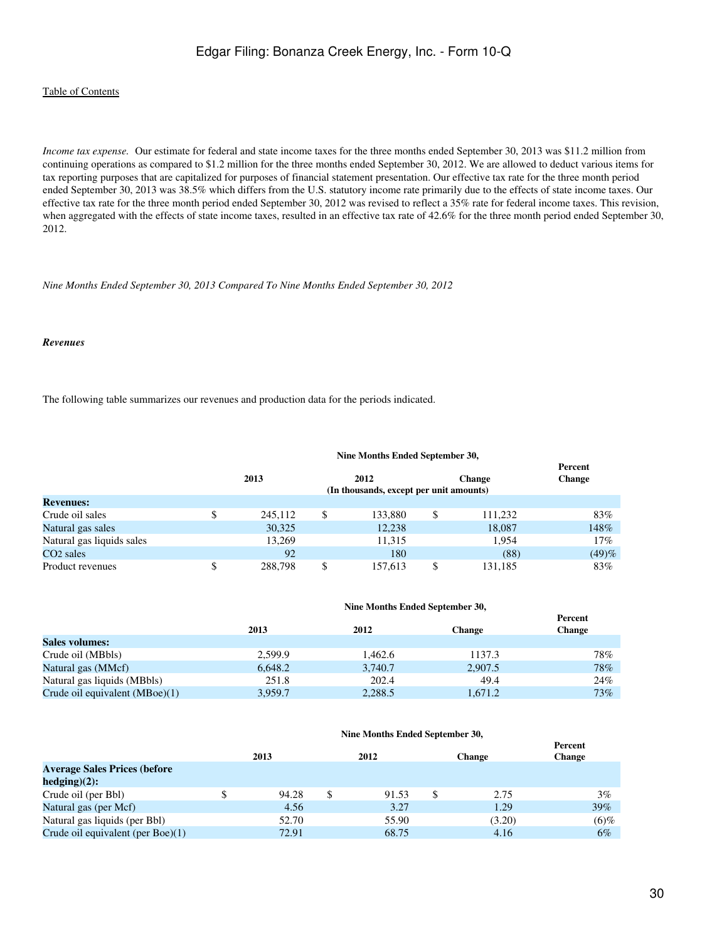#### [Table of Contents](#page-2-0)

*Income tax expense.* Our estimate for federal and state income taxes for the three months ended September 30, 2013 was \$11.2 million from continuing operations as compared to \$1.2 million for the three months ended September 30, 2012. We are allowed to deduct various items for tax reporting purposes that are capitalized for purposes of financial statement presentation. Our effective tax rate for the three month period ended September 30, 2013 was 38.5% which differs from the U.S. statutory income rate primarily due to the effects of state income taxes. Our effective tax rate for the three month period ended September 30, 2012 was revised to reflect a 35% rate for federal income taxes. This revision, when aggregated with the effects of state income taxes, resulted in an effective tax rate of 42.6% for the three month period ended September 30, 2012.

#### *Nine Months Ended September 30, 2013 Compared To Nine Months Ended September 30, 2012*

#### *Revenues*

The following table summarizes our revenues and production data for the periods indicated.

#### **Nine Months Ended September 30,**

|                           |               |                                         |         | Percent       |
|---------------------------|---------------|-----------------------------------------|---------|---------------|
|                           | 2013          | 2012                                    | Change  | <b>Change</b> |
|                           |               | (In thousands, except per unit amounts) |         |               |
| <b>Revenues:</b>          |               |                                         |         |               |
| Crude oil sales           | \$<br>245,112 | \$<br>133,880                           | 111.232 | 83%           |
| Natural gas sales         | 30,325        | 12,238                                  | 18,087  | 148%          |
| Natural gas liquids sales | 13.269        | 11,315                                  | 1.954   | 17%           |
| CO <sub>2</sub> sales     | 92            | 180                                     | (88)    | (49)%         |
| Product revenues          | \$<br>288.798 | \$<br>157,613                           | 131.185 | 83%           |

#### **Nine Months Ended September 30,**

|                                  |         |         |               | Percent       |
|----------------------------------|---------|---------|---------------|---------------|
|                                  | 2013    | 2012    | <b>Change</b> | <b>Change</b> |
| Sales volumes:                   |         |         |               |               |
| Crude oil (MBbls)                | 2.599.9 | 1.462.6 | 1137.3        | 78%           |
| Natural gas (MMcf)               | 6.648.2 | 3.740.7 | 2.907.5       | 78%           |
| Natural gas liquids (MBbls)      | 251.8   | 202.4   | 49.4          | 24%           |
| Crude oil equivalent $(MBoe)(1)$ | 3.959.7 | 2,288.5 | 1.671.2       | 73%           |

#### **Nine Months Ended September 30,**

|                                      | 2013  |   | 2012  | <b>Change</b> | Percent<br><b>Change</b> |
|--------------------------------------|-------|---|-------|---------------|--------------------------|
| <b>Average Sales Prices (before</b>  |       |   |       |               |                          |
| $hedging)(2)$ :                      |       |   |       |               |                          |
| Crude oil (per Bbl)                  | 94.28 | S | 91.53 | 2.75          | $3\%$                    |
| Natural gas (per Mcf)                | 4.56  |   | 3.27  | 1.29          | $39\%$                   |
| Natural gas liquids (per Bbl)        | 52.70 |   | 55.90 | (3.20)        | $(6)$ %                  |
| Crude oil equivalent (per Boe) $(1)$ | 72.91 |   | 68.75 | 4.16          | $6\%$                    |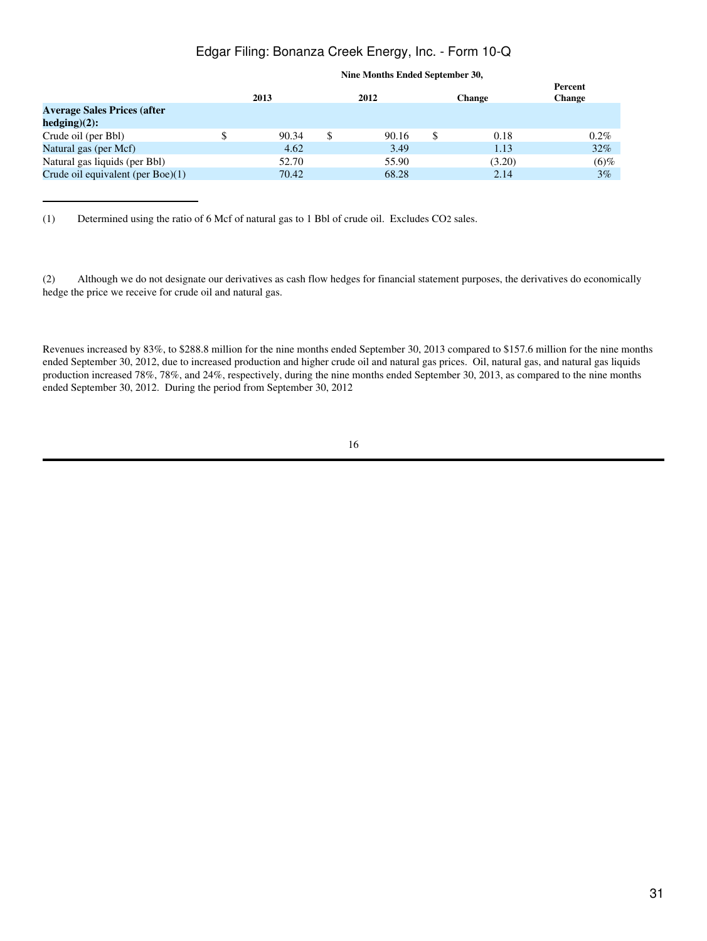|                                                       | 2013  | 2012  | <b>Change</b> | Percent<br><b>Change</b> |
|-------------------------------------------------------|-------|-------|---------------|--------------------------|
| <b>Average Sales Prices (after</b><br>$hedging)(2)$ : |       |       |               |                          |
| Crude oil (per Bbl)                                   | 90.34 | 90.16 | 0.18          | $0.2\%$                  |
| Natural gas (per Mcf)                                 | 4.62  | 3.49  | 1.13          | 32%                      |
| Natural gas liquids (per Bbl)                         | 52.70 | 55.90 | (3.20)        | $(6)$ %                  |
| Crude oil equivalent (per Boe)(1)                     | 70.42 | 68.28 | 2.14          | $3\%$                    |
|                                                       |       |       |               |                          |

#### **Nine Months Ended September 30,**

(1) Determined using the ratio of 6 Mcf of natural gas to 1 Bbl of crude oil. Excludes CO2 sales.

(2) Although we do not designate our derivatives as cash flow hedges for financial statement purposes, the derivatives do economically hedge the price we receive for crude oil and natural gas.

Revenues increased by 83%, to \$288.8 million for the nine months ended September 30, 2013 compared to \$157.6 million for the nine months ended September 30, 2012, due to increased production and higher crude oil and natural gas prices. Oil, natural gas, and natural gas liquids production increased 78%, 78%, and 24%, respectively, during the nine months ended September 30, 2013, as compared to the nine months ended September 30, 2012. During the period from September 30, 2012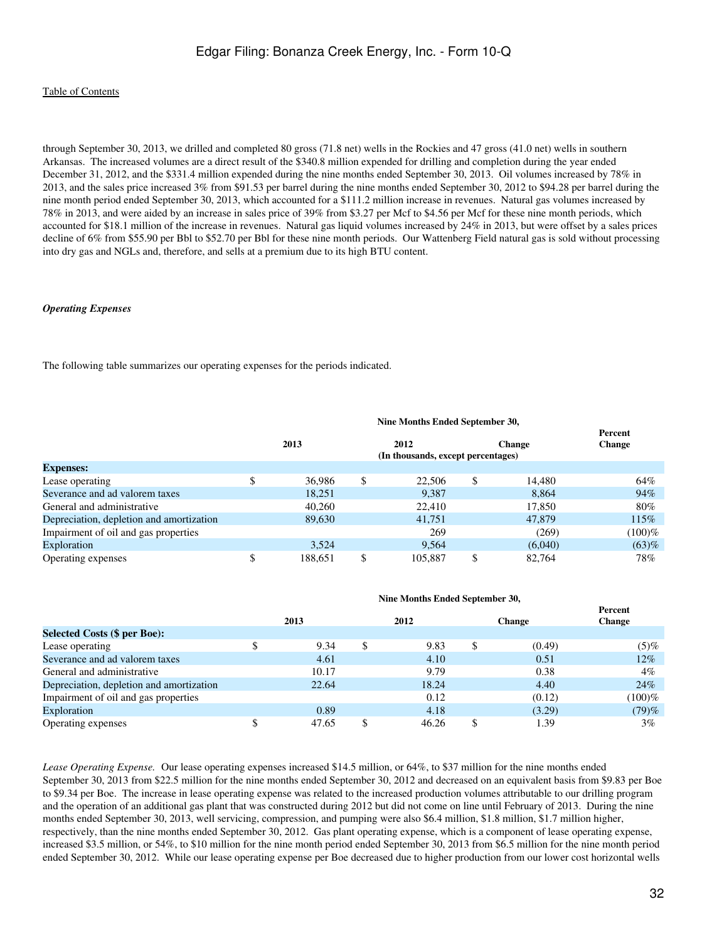through September 30, 2013, we drilled and completed 80 gross (71.8 net) wells in the Rockies and 47 gross (41.0 net) wells in southern Arkansas. The increased volumes are a direct result of the \$340.8 million expended for drilling and completion during the year ended December 31, 2012, and the \$331.4 million expended during the nine months ended September 30, 2013. Oil volumes increased by 78% in 2013, and the sales price increased 3% from \$91.53 per barrel during the nine months ended September 30, 2012 to \$94.28 per barrel during the nine month period ended September 30, 2013, which accounted for a \$111.2 million increase in revenues. Natural gas volumes increased by 78% in 2013, and were aided by an increase in sales price of 39% from \$3.27 per Mcf to \$4.56 per Mcf for these nine month periods, which accounted for \$18.1 million of the increase in revenues. Natural gas liquid volumes increased by 24% in 2013, but were offset by a sales prices decline of 6% from \$55.90 per Bbl to \$52.70 per Bbl for these nine month periods. Our Wattenberg Field natural gas is sold without processing into dry gas and NGLs and, therefore, and sells at a premium due to its high BTU content.

#### *Operating Expenses*

The following table summarizes our operating expenses for the periods indicated.

|                                          |         | Nine Months Ended September 30,            |               |                          |
|------------------------------------------|---------|--------------------------------------------|---------------|--------------------------|
|                                          | 2013    | 2012<br>(In thousands, except percentages) | <b>Change</b> | Percent<br><b>Change</b> |
| <b>Expenses:</b>                         |         |                                            |               |                          |
| Lease operating                          | 36,986  | \$<br>22,506                               | \$<br>14.480  | 64%                      |
| Severance and ad valorem taxes           | 18,251  | 9.387                                      | 8.864         | 94%                      |
| General and administrative               | 40.260  | 22,410                                     | 17,850        | 80%                      |
| Depreciation, depletion and amortization | 89,630  | 41,751                                     | 47,879        | 115%                     |
| Impairment of oil and gas properties     |         | 269                                        | (269)         | $(100)\%$                |
| Exploration                              | 3.524   | 9.564                                      | (6,040)       | (63)%                    |
| Operating expenses                       | 188.651 | 105,887                                    | \$<br>82.764  | 78%                      |

|  | Nine Months Ended September 30, |  |
|--|---------------------------------|--|
|  |                                 |  |

|       |   |       |               | Percent       |
|-------|---|-------|---------------|---------------|
| 2013  |   | 2012  | <b>Change</b> | <b>Change</b> |
|       |   |       |               |               |
| 9.34  | S | 9.83  | \$<br>(0.49)  | (5)%          |
| 4.61  |   | 4.10  | 0.51          | $12\%$        |
| 10.17 |   | 9.79  | 0.38          | $4\%$         |
| 22.64 |   | 18.24 | 4.40          | 24%           |
|       |   | 0.12  | (0.12)        | (100)%        |
| 0.89  |   | 4.18  | (3.29)        | (79)%         |
| 47.65 |   | 46.26 | 1.39          | $3\%$         |
|       |   |       |               |               |

*Lease Operating Expense.* Our lease operating expenses increased \$14.5 million, or 64%, to \$37 million for the nine months ended September 30, 2013 from \$22.5 million for the nine months ended September 30, 2012 and decreased on an equivalent basis from \$9.83 per Boe to \$9.34 per Boe. The increase in lease operating expense was related to the increased production volumes attributable to our drilling program and the operation of an additional gas plant that was constructed during 2012 but did not come on line until February of 2013. During the nine months ended September 30, 2013, well servicing, compression, and pumping were also \$6.4 million, \$1.8 million, \$1.7 million higher, respectively, than the nine months ended September 30, 2012. Gas plant operating expense, which is a component of lease operating expense, increased \$3.5 million, or 54%, to \$10 million for the nine month period ended September 30, 2013 from \$6.5 million for the nine month period ended September 30, 2012. While our lease operating expense per Boe decreased due to higher production from our lower cost horizontal wells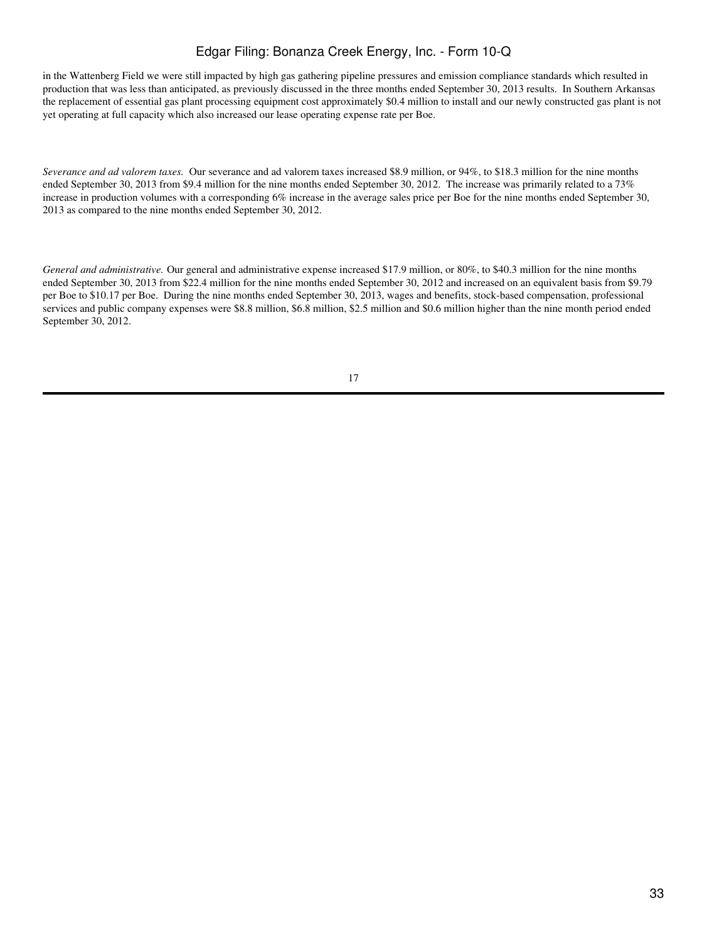in the Wattenberg Field we were still impacted by high gas gathering pipeline pressures and emission compliance standards which resulted in production that was less than anticipated, as previously discussed in the three months ended September 30, 2013 results. In Southern Arkansas the replacement of essential gas plant processing equipment cost approximately \$0.4 million to install and our newly constructed gas plant is not yet operating at full capacity which also increased our lease operating expense rate per Boe.

*Severance and ad valorem taxes.* Our severance and ad valorem taxes increased \$8.9 million, or 94%, to \$18.3 million for the nine months ended September 30, 2013 from \$9.4 million for the nine months ended September 30, 2012. The increase was primarily related to a 73% increase in production volumes with a corresponding 6% increase in the average sales price per Boe for the nine months ended September 30, 2013 as compared to the nine months ended September 30, 2012.

*General and administrative.* Our general and administrative expense increased \$17.9 million, or 80%, to \$40.3 million for the nine months ended September 30, 2013 from \$22.4 million for the nine months ended September 30, 2012 and increased on an equivalent basis from \$9.79 per Boe to \$10.17 per Boe. During the nine months ended September 30, 2013, wages and benefits, stock-based compensation, professional services and public company expenses were \$8.8 million, \$6.8 million, \$2.5 million and \$0.6 million higher than the nine month period ended September 30, 2012.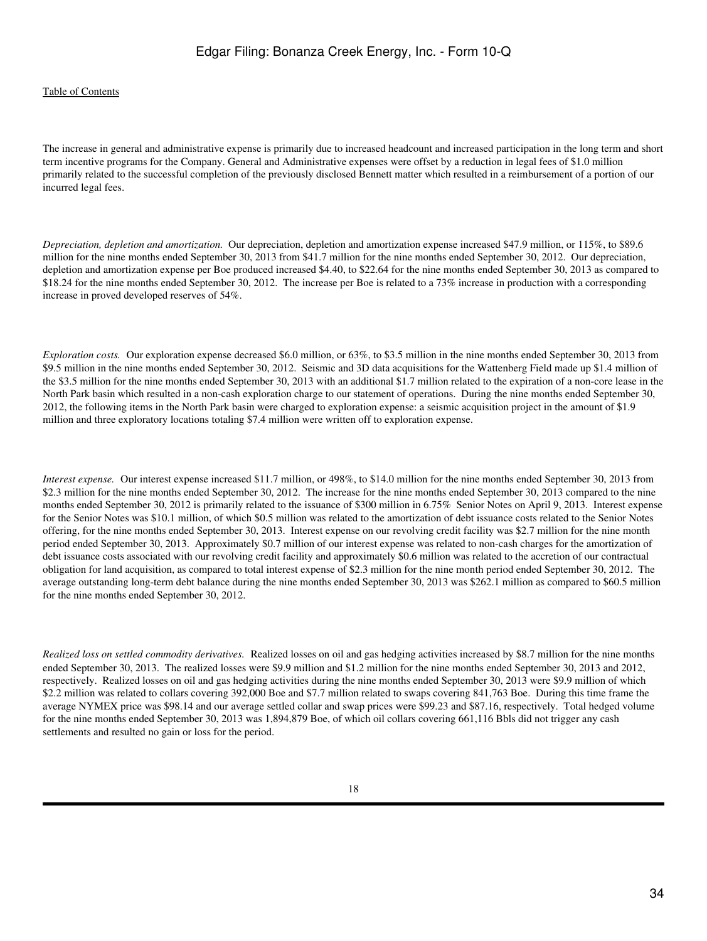The increase in general and administrative expense is primarily due to increased headcount and increased participation in the long term and short term incentive programs for the Company. General and Administrative expenses were offset by a reduction in legal fees of \$1.0 million primarily related to the successful completion of the previously disclosed Bennett matter which resulted in a reimbursement of a portion of our incurred legal fees.

*Depreciation, depletion and amortization.* Our depreciation, depletion and amortization expense increased \$47.9 million, or 115%, to \$89.6 million for the nine months ended September 30, 2013 from \$41.7 million for the nine months ended September 30, 2012. Our depreciation, depletion and amortization expense per Boe produced increased \$4.40, to \$22.64 for the nine months ended September 30, 2013 as compared to \$18.24 for the nine months ended September 30, 2012. The increase per Boe is related to a 73% increase in production with a corresponding increase in proved developed reserves of 54%.

*Exploration costs.* Our exploration expense decreased \$6.0 million, or 63%, to \$3.5 million in the nine months ended September 30, 2013 from \$9.5 million in the nine months ended September 30, 2012. Seismic and 3D data acquisitions for the Wattenberg Field made up \$1.4 million of the \$3.5 million for the nine months ended September 30, 2013 with an additional \$1.7 million related to the expiration of a non-core lease in the North Park basin which resulted in a non-cash exploration charge to our statement of operations. During the nine months ended September 30, 2012, the following items in the North Park basin were charged to exploration expense: a seismic acquisition project in the amount of \$1.9 million and three exploratory locations totaling \$7.4 million were written off to exploration expense.

*Interest expense.* Our interest expense increased \$11.7 million, or 498%, to \$14.0 million for the nine months ended September 30, 2013 from \$2.3 million for the nine months ended September 30, 2012. The increase for the nine months ended September 30, 2013 compared to the nine months ended September 30, 2012 is primarily related to the issuance of \$300 million in 6.75% Senior Notes on April 9, 2013. Interest expense for the Senior Notes was \$10.1 million, of which \$0.5 million was related to the amortization of debt issuance costs related to the Senior Notes offering, for the nine months ended September 30, 2013. Interest expense on our revolving credit facility was \$2.7 million for the nine month period ended September 30, 2013. Approximately \$0.7 million of our interest expense was related to non-cash charges for the amortization of debt issuance costs associated with our revolving credit facility and approximately \$0.6 million was related to the accretion of our contractual obligation for land acquisition, as compared to total interest expense of \$2.3 million for the nine month period ended September 30, 2012. The average outstanding long-term debt balance during the nine months ended September 30, 2013 was \$262.1 million as compared to \$60.5 million for the nine months ended September 30, 2012.

*Realized loss on settled commodity derivatives.* Realized losses on oil and gas hedging activities increased by \$8.7 million for the nine months ended September 30, 2013. The realized losses were \$9.9 million and \$1.2 million for the nine months ended September 30, 2013 and 2012, respectively. Realized losses on oil and gas hedging activities during the nine months ended September 30, 2013 were \$9.9 million of which \$2.2 million was related to collars covering 392,000 Boe and \$7.7 million related to swaps covering 841,763 Boe. During this time frame the average NYMEX price was \$98.14 and our average settled collar and swap prices were \$99.23 and \$87.16, respectively. Total hedged volume for the nine months ended September 30, 2013 was 1,894,879 Boe, of which oil collars covering 661,116 Bbls did not trigger any cash settlements and resulted no gain or loss for the period.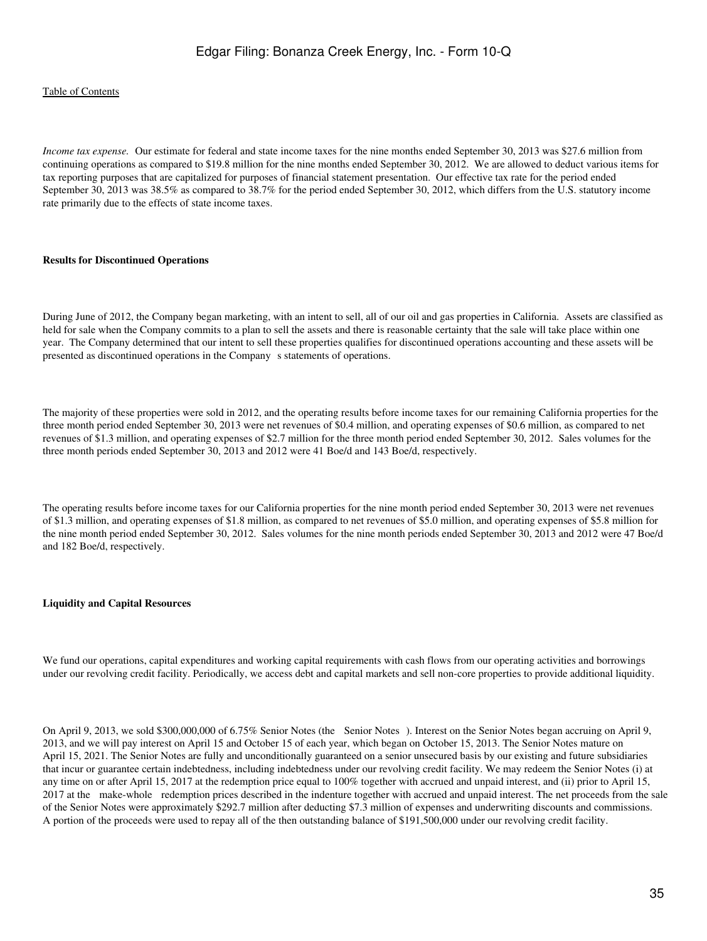*Income tax expense.* Our estimate for federal and state income taxes for the nine months ended September 30, 2013 was \$27.6 million from continuing operations as compared to \$19.8 million for the nine months ended September 30, 2012. We are allowed to deduct various items for tax reporting purposes that are capitalized for purposes of financial statement presentation. Our effective tax rate for the period ended September 30, 2013 was 38.5% as compared to 38.7% for the period ended September 30, 2012, which differs from the U.S. statutory income rate primarily due to the effects of state income taxes.

#### **Results for Discontinued Operations**

During June of 2012, the Company began marketing, with an intent to sell, all of our oil and gas properties in California. Assets are classified as held for sale when the Company commits to a plan to sell the assets and there is reasonable certainty that the sale will take place within one year. The Company determined that our intent to sell these properties qualifies for discontinued operations accounting and these assets will be presented as discontinued operations in the Company s statements of operations.

The majority of these properties were sold in 2012, and the operating results before income taxes for our remaining California properties for the three month period ended September 30, 2013 were net revenues of \$0.4 million, and operating expenses of \$0.6 million, as compared to net revenues of \$1.3 million, and operating expenses of \$2.7 million for the three month period ended September 30, 2012. Sales volumes for the three month periods ended September 30, 2013 and 2012 were 41 Boe/d and 143 Boe/d, respectively.

The operating results before income taxes for our California properties for the nine month period ended September 30, 2013 were net revenues of \$1.3 million, and operating expenses of \$1.8 million, as compared to net revenues of \$5.0 million, and operating expenses of \$5.8 million for the nine month period ended September 30, 2012. Sales volumes for the nine month periods ended September 30, 2013 and 2012 were 47 Boe/d and 182 Boe/d, respectively.

#### **Liquidity and Capital Resources**

We fund our operations, capital expenditures and working capital requirements with cash flows from our operating activities and borrowings under our revolving credit facility. Periodically, we access debt and capital markets and sell non-core properties to provide additional liquidity.

On April 9, 2013, we sold \$300,000,000 of 6.75% Senior Notes (the Senior Notes). Interest on the Senior Notes began accruing on April 9, 2013, and we will pay interest on April 15 and October 15 of each year, which began on October 15, 2013. The Senior Notes mature on April 15, 2021. The Senior Notes are fully and unconditionally guaranteed on a senior unsecured basis by our existing and future subsidiaries that incur or guarantee certain indebtedness, including indebtedness under our revolving credit facility. We may redeem the Senior Notes (i) at any time on or after April 15, 2017 at the redemption price equal to 100% together with accrued and unpaid interest, and (ii) prior to April 15, 2017 at the make-whole redemption prices described in the indenture together with accrued and unpaid interest. The net proceeds from the sale of the Senior Notes were approximately \$292.7 million after deducting \$7.3 million of expenses and underwriting discounts and commissions. A portion of the proceeds were used to repay all of the then outstanding balance of \$191,500,000 under our revolving credit facility.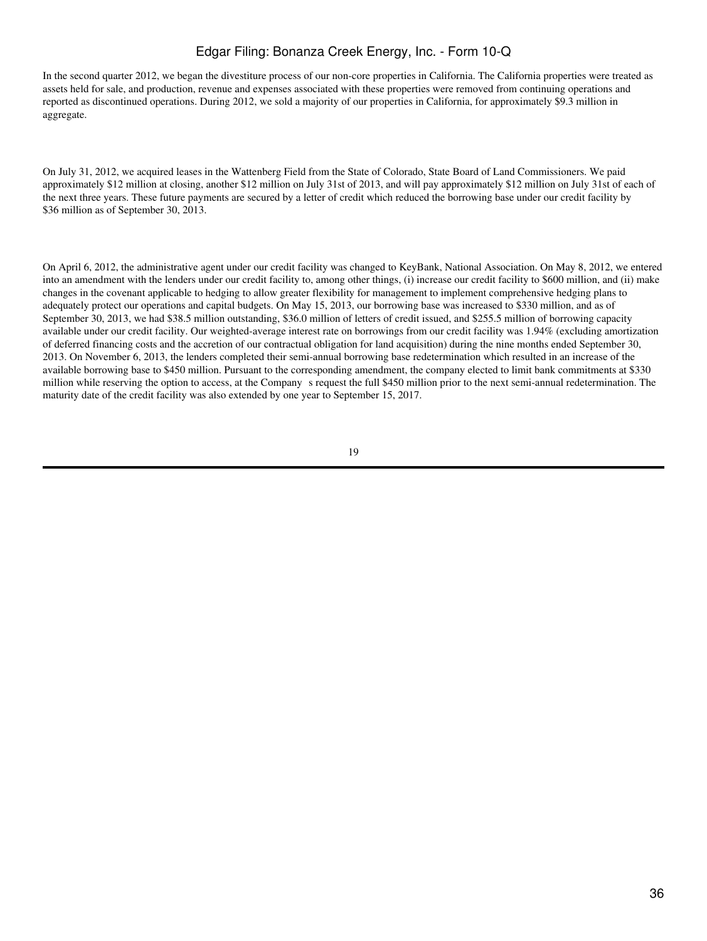In the second quarter 2012, we began the divestiture process of our non-core properties in California. The California properties were treated as assets held for sale, and production, revenue and expenses associated with these properties were removed from continuing operations and reported as discontinued operations. During 2012, we sold a majority of our properties in California, for approximately \$9.3 million in aggregate.

On July 31, 2012, we acquired leases in the Wattenberg Field from the State of Colorado, State Board of Land Commissioners. We paid approximately \$12 million at closing, another \$12 million on July 31st of 2013, and will pay approximately \$12 million on July 31st of each of the next three years. These future payments are secured by a letter of credit which reduced the borrowing base under our credit facility by \$36 million as of September 30, 2013.

On April 6, 2012, the administrative agent under our credit facility was changed to KeyBank, National Association. On May 8, 2012, we entered into an amendment with the lenders under our credit facility to, among other things, (i) increase our credit facility to \$600 million, and (ii) make changes in the covenant applicable to hedging to allow greater flexibility for management to implement comprehensive hedging plans to adequately protect our operations and capital budgets. On May 15, 2013, our borrowing base was increased to \$330 million, and as of September 30, 2013, we had \$38.5 million outstanding, \$36.0 million of letters of credit issued, and \$255.5 million of borrowing capacity available under our credit facility. Our weighted-average interest rate on borrowings from our credit facility was 1.94% (excluding amortization of deferred financing costs and the accretion of our contractual obligation for land acquisition) during the nine months ended September 30, 2013. On November 6, 2013, the lenders completed their semi-annual borrowing base redetermination which resulted in an increase of the available borrowing base to \$450 million. Pursuant to the corresponding amendment, the company elected to limit bank commitments at \$330 million while reserving the option to access, at the Company s request the full \$450 million prior to the next semi-annual redetermination. The maturity date of the credit facility was also extended by one year to September 15, 2017.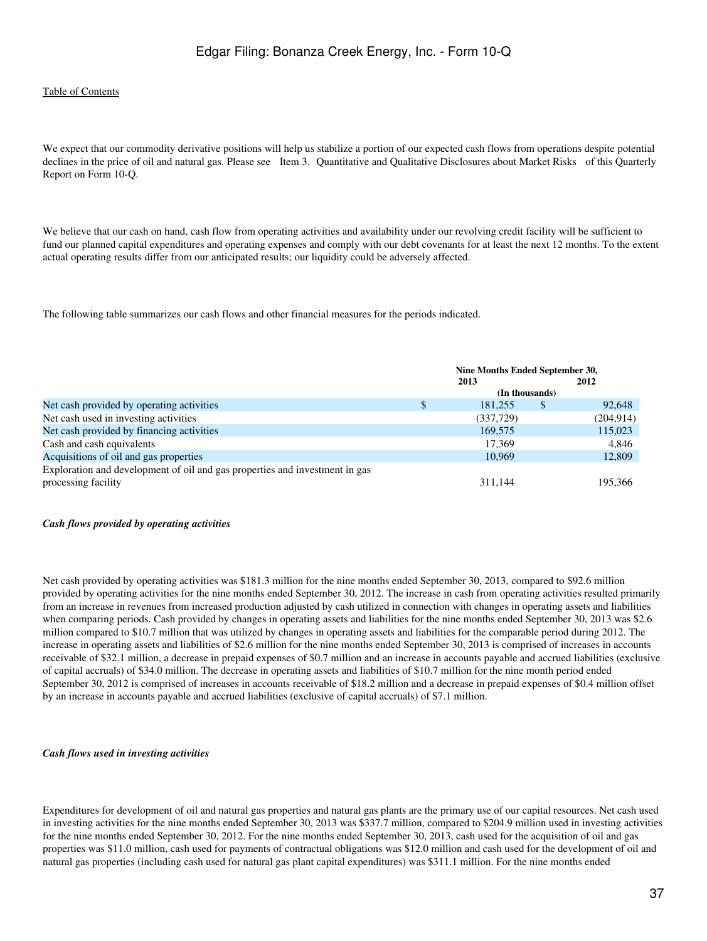We expect that our commodity derivative positions will help us stabilize a portion of our expected cash flows from operations despite potential declines in the price of oil and natural gas. Please see Item 3. Quantitative and Qualitative Disclosures about Market Risks of this Quarterly Report on Form 10-Q.

We believe that our cash on hand, cash flow from operating activities and availability under our revolving credit facility will be sufficient to fund our planned capital expenditures and operating expenses and comply with our debt covenants for at least the next 12 months. To the extent actual operating results differ from our anticipated results; our liquidity could be adversely affected.

The following table summarizes our cash flows and other financial measures for the periods indicated.

|                                                                             | Nine Months Ended September 30, |                |   |            |  |
|-----------------------------------------------------------------------------|---------------------------------|----------------|---|------------|--|
|                                                                             | 2013                            |                |   | 2012       |  |
|                                                                             |                                 | (In thousands) |   |            |  |
| Net cash provided by operating activities                                   | \$                              | 181.255        | S | 92.648     |  |
| Net cash used in investing activities                                       |                                 | (337,729)      |   | (204, 914) |  |
| Net cash provided by financing activities                                   |                                 | 169,575        |   | 115,023    |  |
| Cash and cash equivalents                                                   |                                 | 17.369         |   | 4,846      |  |
| Acquisitions of oil and gas properties                                      |                                 | 10.969         |   | 12,809     |  |
| Exploration and development of oil and gas properties and investment in gas |                                 |                |   |            |  |
| processing facility                                                         |                                 | 311.144        |   | 195,366    |  |

#### *Cash flows provided by operating activities*

Net cash provided by operating activities was \$181.3 million for the nine months ended September 30, 2013, compared to \$92.6 million provided by operating activities for the nine months ended September 30, 2012. The increase in cash from operating activities resulted primarily from an increase in revenues from increased production adjusted by cash utilized in connection with changes in operating assets and liabilities when comparing periods. Cash provided by changes in operating assets and liabilities for the nine months ended September 30, 2013 was \$2.6 million compared to \$10.7 million that was utilized by changes in operating assets and liabilities for the comparable period during 2012. The increase in operating assets and liabilities of \$2.6 million for the nine months ended September 30, 2013 is comprised of increases in accounts receivable of \$32.1 million, a decrease in prepaid expenses of \$0.7 million and an increase in accounts payable and accrued liabilities (exclusive of capital accruals) of \$34.0 million. The decrease in operating assets and liabilities of \$10.7 million for the nine month period ended September 30, 2012 is comprised of increases in accounts receivable of \$18.2 million and a decrease in prepaid expenses of \$0.4 million offset by an increase in accounts payable and accrued liabilities (exclusive of capital accruals) of \$7.1 million.

#### *Cash flows used in investing activities*

Expenditures for development of oil and natural gas properties and natural gas plants are the primary use of our capital resources. Net cash used in investing activities for the nine months ended September 30, 2013 was \$337.7 million, compared to \$204.9 million used in investing activities for the nine months ended September 30, 2012. For the nine months ended September 30, 2013, cash used for the acquisition of oil and gas properties was \$11.0 million, cash used for payments of contractual obligations was \$12.0 million and cash used for the development of oil and natural gas properties (including cash used for natural gas plant capital expenditures) was \$311.1 million. For the nine months ended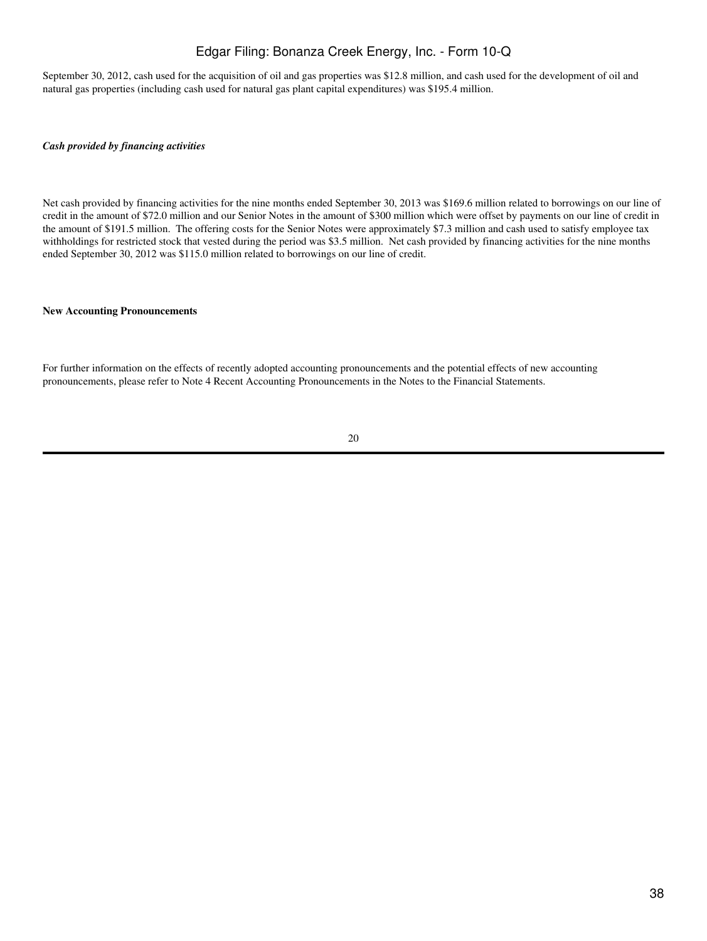September 30, 2012, cash used for the acquisition of oil and gas properties was \$12.8 million, and cash used for the development of oil and natural gas properties (including cash used for natural gas plant capital expenditures) was \$195.4 million.

#### *Cash provided by financing activities*

Net cash provided by financing activities for the nine months ended September 30, 2013 was \$169.6 million related to borrowings on our line of credit in the amount of \$72.0 million and our Senior Notes in the amount of \$300 million which were offset by payments on our line of credit in the amount of \$191.5 million. The offering costs for the Senior Notes were approximately \$7.3 million and cash used to satisfy employee tax withholdings for restricted stock that vested during the period was \$3.5 million. Net cash provided by financing activities for the nine months ended September 30, 2012 was \$115.0 million related to borrowings on our line of credit.

#### **New Accounting Pronouncements**

For further information on the effects of recently adopted accounting pronouncements and the potential effects of new accounting pronouncements, please refer to Note 4 Recent Accounting Pronouncements in the Notes to the Financial Statements.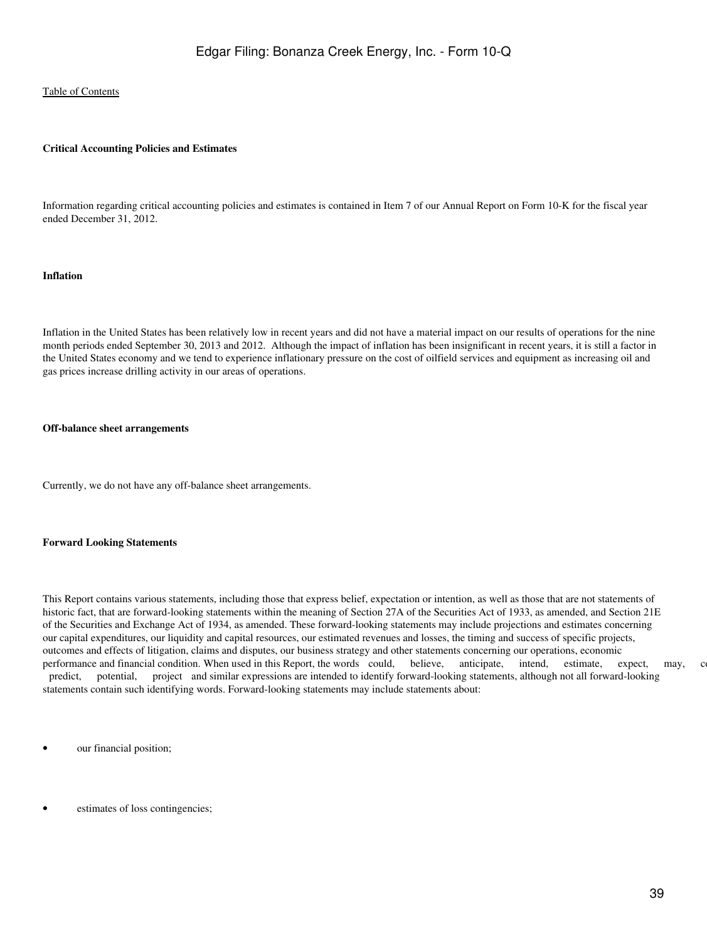#### **Critical Accounting Policies and Estimates**

Information regarding critical accounting policies and estimates is contained in Item 7 of our Annual Report on Form 10-K for the fiscal year ended December 31, 2012.

#### **Inflation**

Inflation in the United States has been relatively low in recent years and did not have a material impact on our results of operations for the nine month periods ended September 30, 2013 and 2012. Although the impact of inflation has been insignificant in recent years, it is still a factor in the United States economy and we tend to experience inflationary pressure on the cost of oilfield services and equipment as increasing oil and gas prices increase drilling activity in our areas of operations.

#### **Off-balance sheet arrangements**

Currently, we do not have any off-balance sheet arrangements.

#### **Forward Looking Statements**

This Report contains various statements, including those that express belief, expectation or intention, as well as those that are not statements of historic fact, that are forward-looking statements within the meaning of Section 27A of the Securities Act of 1933, as amended, and Section 21E of the Securities and Exchange Act of 1934, as amended. These forward-looking statements may include projections and estimates concerning our capital expenditures, our liquidity and capital resources, our estimated revenues and losses, the timing and success of specific projects, outcomes and effects of litigation, claims and disputes, our business strategy and other statements concerning our operations, economic performance and financial condition. When used in this Report, the words could, believe, anticipate, intend, estimate, expect, may, continue, predict, potential, project and similar expressions are intended to identify forward-looking statements, although not all forward-looking statements contain such identifying words. Forward-looking statements may include statements about:

- our financial position;
- estimates of loss contingencies;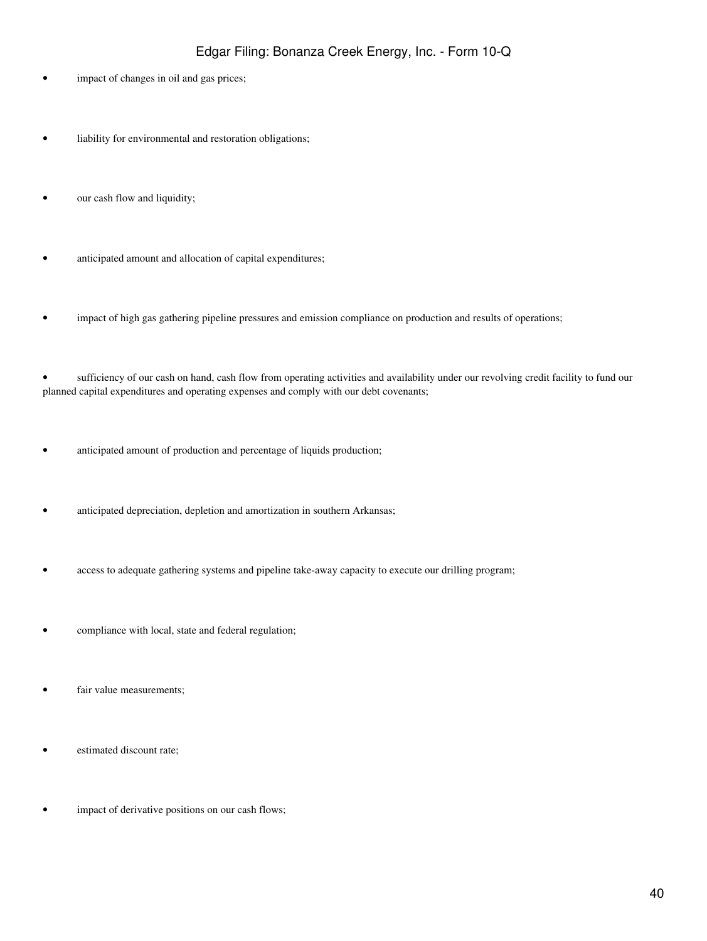- impact of changes in oil and gas prices;
- liability for environmental and restoration obligations;
- our cash flow and liquidity;
- anticipated amount and allocation of capital expenditures;
- impact of high gas gathering pipeline pressures and emission compliance on production and results of operations;

• sufficiency of our cash on hand, cash flow from operating activities and availability under our revolving credit facility to fund our planned capital expenditures and operating expenses and comply with our debt covenants;

- anticipated amount of production and percentage of liquids production;
- anticipated depreciation, depletion and amortization in southern Arkansas;
- access to adequate gathering systems and pipeline take-away capacity to execute our drilling program;
- compliance with local, state and federal regulation;
- fair value measurements;
- estimated discount rate;
- impact of derivative positions on our cash flows;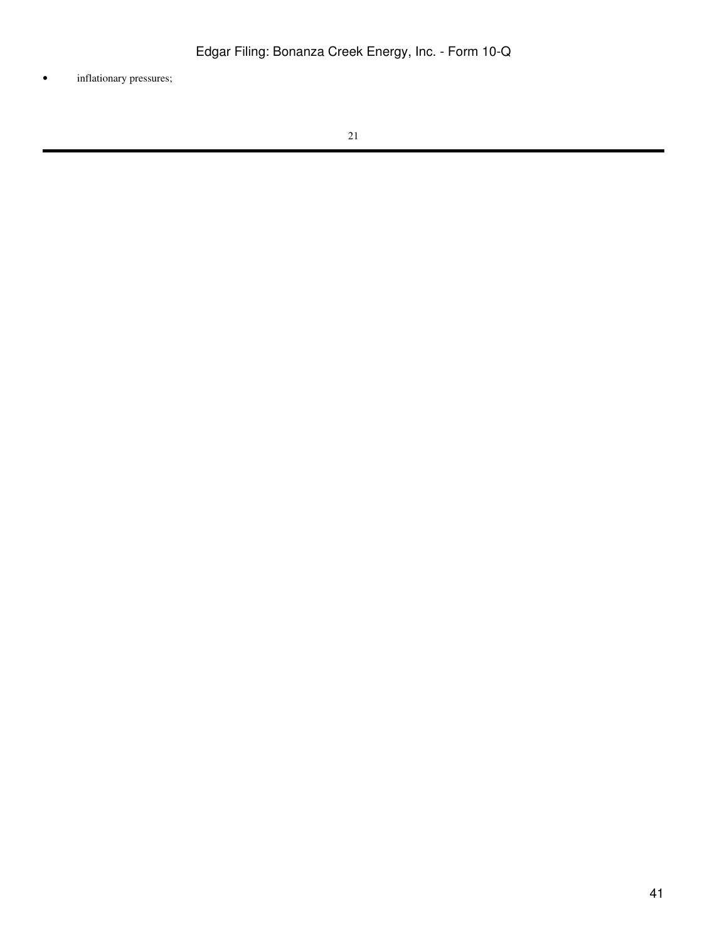• inflationary pressures;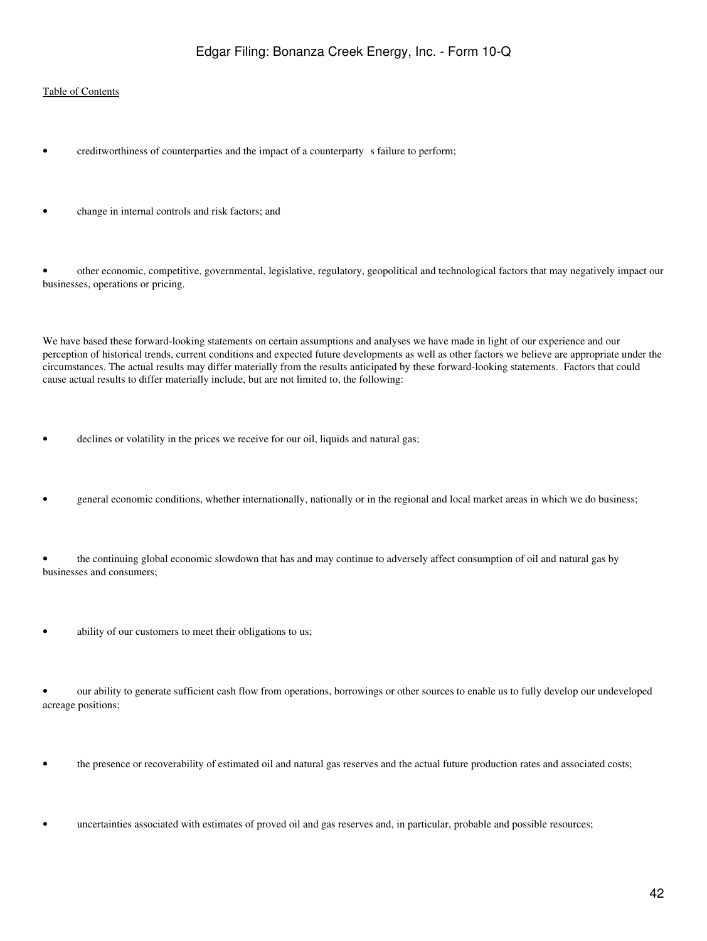- creditworthiness of counterparties and the impact of a counterparty s failure to perform;
- change in internal controls and risk factors; and

• other economic, competitive, governmental, legislative, regulatory, geopolitical and technological factors that may negatively impact our businesses, operations or pricing.

We have based these forward-looking statements on certain assumptions and analyses we have made in light of our experience and our perception of historical trends, current conditions and expected future developments as well as other factors we believe are appropriate under the circumstances. The actual results may differ materially from the results anticipated by these forward-looking statements. Factors that could cause actual results to differ materially include, but are not limited to, the following:

- declines or volatility in the prices we receive for our oil, liquids and natural gas;
- general economic conditions, whether internationally, nationally or in the regional and local market areas in which we do business;

• the continuing global economic slowdown that has and may continue to adversely affect consumption of oil and natural gas by businesses and consumers;

• ability of our customers to meet their obligations to us;

• our ability to generate sufficient cash flow from operations, borrowings or other sources to enable us to fully develop our undeveloped acreage positions;

- the presence or recoverability of estimated oil and natural gas reserves and the actual future production rates and associated costs;
- uncertainties associated with estimates of proved oil and gas reserves and, in particular, probable and possible resources;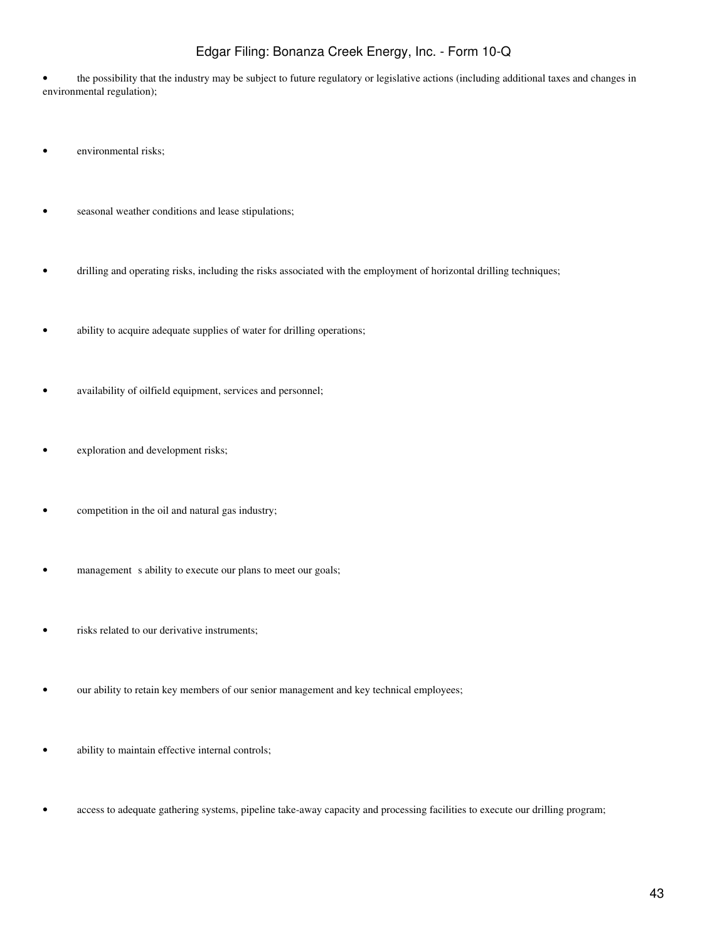• the possibility that the industry may be subject to future regulatory or legislative actions (including additional taxes and changes in environmental regulation);

- environmental risks;
- seasonal weather conditions and lease stipulations;
- drilling and operating risks, including the risks associated with the employment of horizontal drilling techniques;
- ability to acquire adequate supplies of water for drilling operations;
- availability of oilfield equipment, services and personnel;
- exploration and development risks;
- competition in the oil and natural gas industry;
- management s ability to execute our plans to meet our goals;
- risks related to our derivative instruments;
- our ability to retain key members of our senior management and key technical employees;
- ability to maintain effective internal controls;
- access to adequate gathering systems, pipeline take-away capacity and processing facilities to execute our drilling program;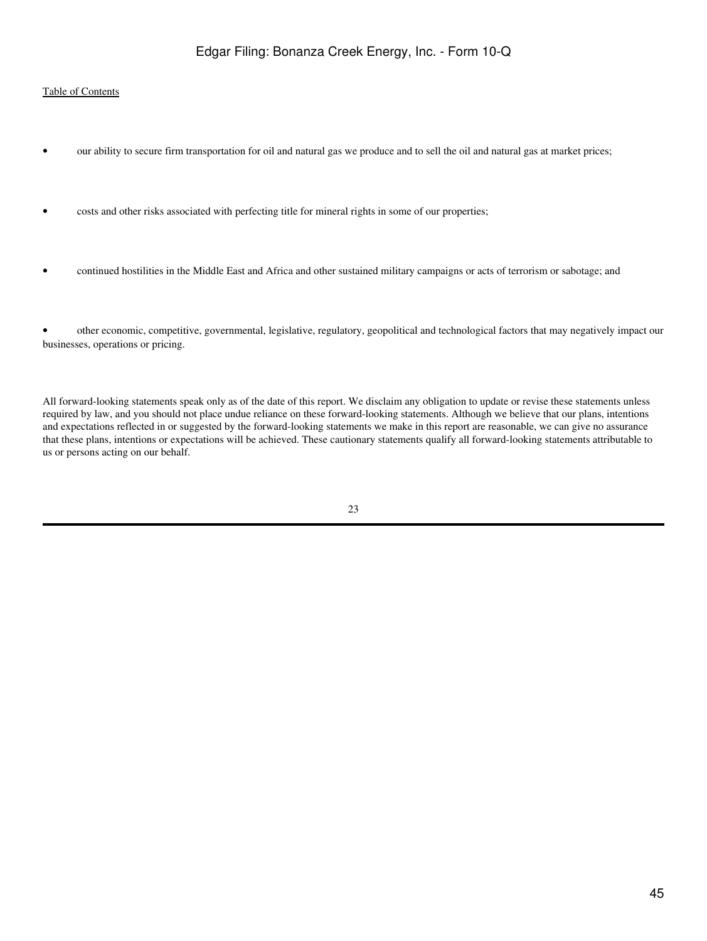- our ability to secure firm transportation for oil and natural gas we produce and to sell the oil and natural gas at market prices;
- costs and other risks associated with perfecting title for mineral rights in some of our properties;
- continued hostilities in the Middle East and Africa and other sustained military campaigns or acts of terrorism or sabotage; and

• other economic, competitive, governmental, legislative, regulatory, geopolitical and technological factors that may negatively impact our businesses, operations or pricing.

All forward-looking statements speak only as of the date of this report. We disclaim any obligation to update or revise these statements unless required by law, and you should not place undue reliance on these forward-looking statements. Although we believe that our plans, intentions and expectations reflected in or suggested by the forward-looking statements we make in this report are reasonable, we can give no assurance that these plans, intentions or expectations will be achieved. These cautionary statements qualify all forward-looking statements attributable to us or persons acting on our behalf.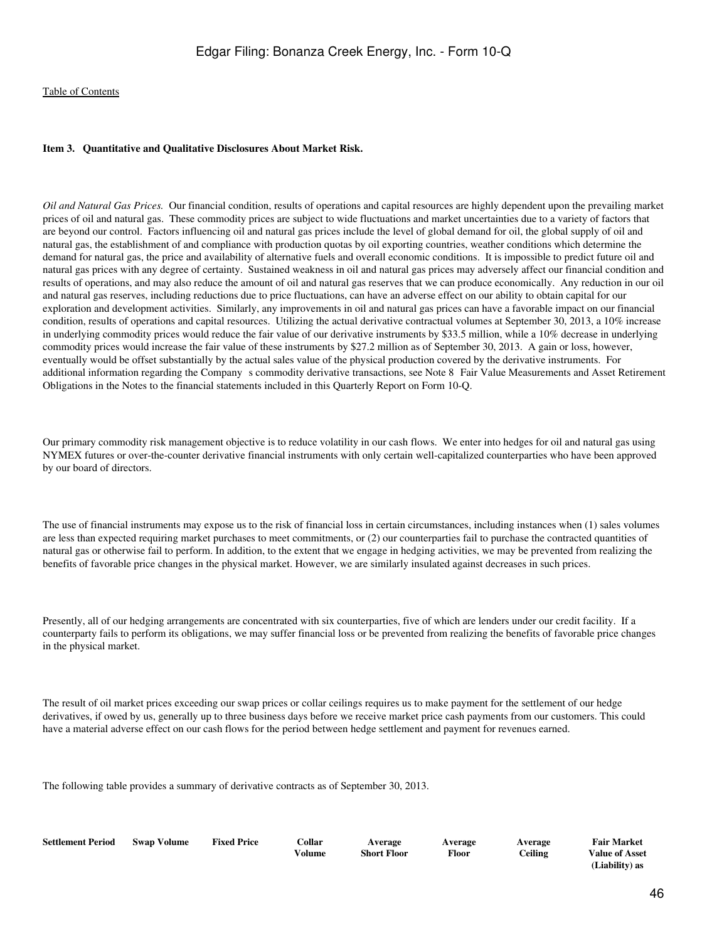#### <span id="page-45-0"></span>**Item 3. Quantitative and Qualitative Disclosures About Market Risk.**

*Oil and Natural Gas Prices.* Our financial condition, results of operations and capital resources are highly dependent upon the prevailing market prices of oil and natural gas. These commodity prices are subject to wide fluctuations and market uncertainties due to a variety of factors that are beyond our control. Factors influencing oil and natural gas prices include the level of global demand for oil, the global supply of oil and natural gas, the establishment of and compliance with production quotas by oil exporting countries, weather conditions which determine the demand for natural gas, the price and availability of alternative fuels and overall economic conditions. It is impossible to predict future oil and natural gas prices with any degree of certainty. Sustained weakness in oil and natural gas prices may adversely affect our financial condition and results of operations, and may also reduce the amount of oil and natural gas reserves that we can produce economically. Any reduction in our oil and natural gas reserves, including reductions due to price fluctuations, can have an adverse effect on our ability to obtain capital for our exploration and development activities. Similarly, any improvements in oil and natural gas prices can have a favorable impact on our financial condition, results of operations and capital resources. Utilizing the actual derivative contractual volumes at September 30, 2013, a 10% increase in underlying commodity prices would reduce the fair value of our derivative instruments by \$33.5 million, while a 10% decrease in underlying commodity prices would increase the fair value of these instruments by \$27.2 million as of September 30, 2013. A gain or loss, however, eventually would be offset substantially by the actual sales value of the physical production covered by the derivative instruments. For additional information regarding the Company s commodity derivative transactions, see Note 8 Fair Value Measurements and Asset Retirement Obligations in the Notes to the financial statements included in this Quarterly Report on Form 10-Q.

Our primary commodity risk management objective is to reduce volatility in our cash flows. We enter into hedges for oil and natural gas using NYMEX futures or over-the-counter derivative financial instruments with only certain well-capitalized counterparties who have been approved by our board of directors.

The use of financial instruments may expose us to the risk of financial loss in certain circumstances, including instances when (1) sales volumes are less than expected requiring market purchases to meet commitments, or (2) our counterparties fail to purchase the contracted quantities of natural gas or otherwise fail to perform. In addition, to the extent that we engage in hedging activities, we may be prevented from realizing the benefits of favorable price changes in the physical market. However, we are similarly insulated against decreases in such prices.

Presently, all of our hedging arrangements are concentrated with six counterparties, five of which are lenders under our credit facility. If a counterparty fails to perform its obligations, we may suffer financial loss or be prevented from realizing the benefits of favorable price changes in the physical market.

The result of oil market prices exceeding our swap prices or collar ceilings requires us to make payment for the settlement of our hedge derivatives, if owed by us, generally up to three business days before we receive market price cash payments from our customers. This could have a material adverse effect on our cash flows for the period between hedge settlement and payment for revenues earned.

The following table provides a summary of derivative contracts as of September 30, 2013.

| <b>Settlement Period</b> | <b>Swap Volume</b> | <b>Fixed Price</b> | Collar<br>Volume | Average<br>Short Floor | Average<br><b>Floor</b> | Average<br>Ceiling | <b>Fair Market</b><br><b>Value of Asset</b> |
|--------------------------|--------------------|--------------------|------------------|------------------------|-------------------------|--------------------|---------------------------------------------|
|                          |                    |                    |                  |                        |                         |                    | (Liability) as                              |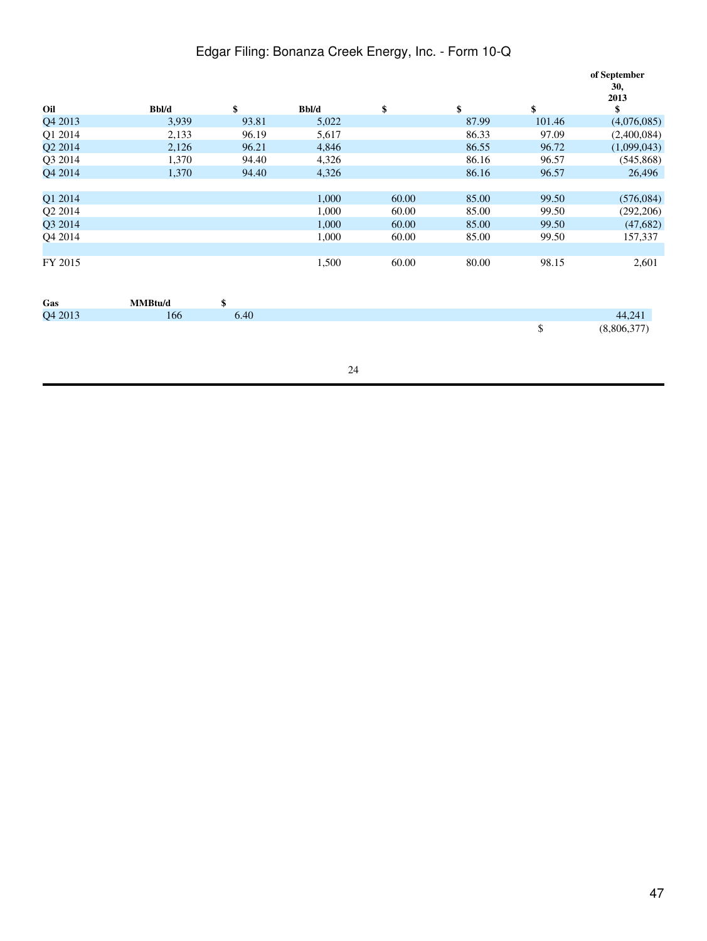|         |         |       |       |       |       |        | of September<br>30,<br>2013 |
|---------|---------|-------|-------|-------|-------|--------|-----------------------------|
| Oil     | Bbl/d   | \$    | Bbl/d | \$    | \$    | \$     | \$                          |
| Q4 2013 | 3,939   | 93.81 | 5,022 |       | 87.99 | 101.46 | (4,076,085)                 |
| Q1 2014 | 2,133   | 96.19 | 5,617 |       | 86.33 | 97.09  | (2,400,084)                 |
| Q2 2014 | 2,126   | 96.21 | 4,846 |       | 86.55 | 96.72  | (1,099,043)                 |
| Q3 2014 | 1,370   | 94.40 | 4,326 |       | 86.16 | 96.57  | (545, 868)                  |
| Q4 2014 | 1,370   | 94.40 | 4,326 |       | 86.16 | 96.57  | 26,496                      |
|         |         |       |       |       |       |        |                             |
| Q1 2014 |         |       | 1,000 | 60.00 | 85.00 | 99.50  | (576,084)                   |
| Q2 2014 |         |       | 1,000 | 60.00 | 85.00 | 99.50  | (292, 206)                  |
| Q3 2014 |         |       | 1,000 | 60.00 | 85.00 | 99.50  | (47,682)                    |
| Q4 2014 |         |       | 1,000 | 60.00 | 85.00 | 99.50  | 157,337                     |
|         |         |       |       |       |       |        |                             |
| FY 2015 |         |       | 1,500 | 60.00 | 80.00 | 98.15  | 2,601                       |
|         |         |       |       |       |       |        |                             |
| Gas     | MMBtu/d | \$    |       |       |       |        |                             |
| Q4 2013 | 166     | 6.40  |       |       |       |        | 44,241                      |
|         |         |       |       |       |       | \$     | (8,806,377)                 |
|         |         |       |       |       |       |        |                             |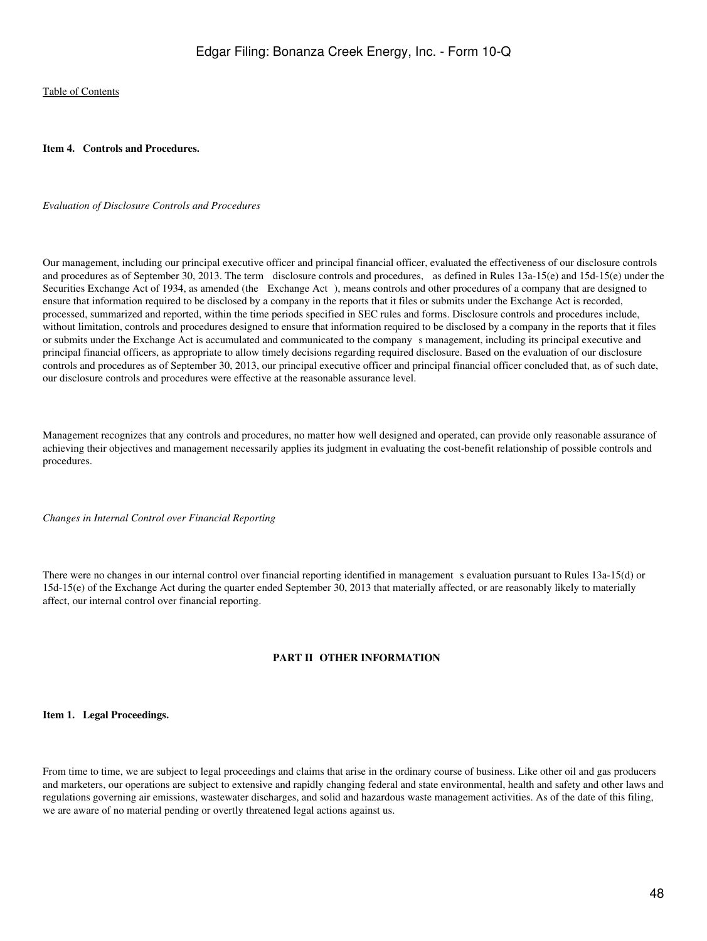<span id="page-47-0"></span>**Item 4. Controls and Procedures.**

#### *Evaluation of Disclosure Controls and Procedures*

Our management, including our principal executive officer and principal financial officer, evaluated the effectiveness of our disclosure controls and procedures as of September 30, 2013. The term disclosure controls and procedures, as defined in Rules 13a-15(e) and 15d-15(e) under the Securities Exchange Act of 1934, as amended (the Exchange Act), means controls and other procedures of a company that are designed to ensure that information required to be disclosed by a company in the reports that it files or submits under the Exchange Act is recorded, processed, summarized and reported, within the time periods specified in SEC rules and forms. Disclosure controls and procedures include, without limitation, controls and procedures designed to ensure that information required to be disclosed by a company in the reports that it files or submits under the Exchange Act is accumulated and communicated to the company s management, including its principal executive and principal financial officers, as appropriate to allow timely decisions regarding required disclosure. Based on the evaluation of our disclosure controls and procedures as of September 30, 2013, our principal executive officer and principal financial officer concluded that, as of such date, our disclosure controls and procedures were effective at the reasonable assurance level.

Management recognizes that any controls and procedures, no matter how well designed and operated, can provide only reasonable assurance of achieving their objectives and management necessarily applies its judgment in evaluating the cost-benefit relationship of possible controls and procedures.

*Changes in Internal Control over Financial Reporting*

There were no changes in our internal control over financial reporting identified in management s evaluation pursuant to Rules 13a-15(d) or 15d-15(e) of the Exchange Act during the quarter ended September 30, 2013 that materially affected, or are reasonably likely to materially affect, our internal control over financial reporting.

#### **PART II OTHER INFORMATION**

<span id="page-47-2"></span><span id="page-47-1"></span>**Item 1. Legal Proceedings.**

From time to time, we are subject to legal proceedings and claims that arise in the ordinary course of business. Like other oil and gas producers and marketers, our operations are subject to extensive and rapidly changing federal and state environmental, health and safety and other laws and regulations governing air emissions, wastewater discharges, and solid and hazardous waste management activities. As of the date of this filing, we are aware of no material pending or overtly threatened legal actions against us.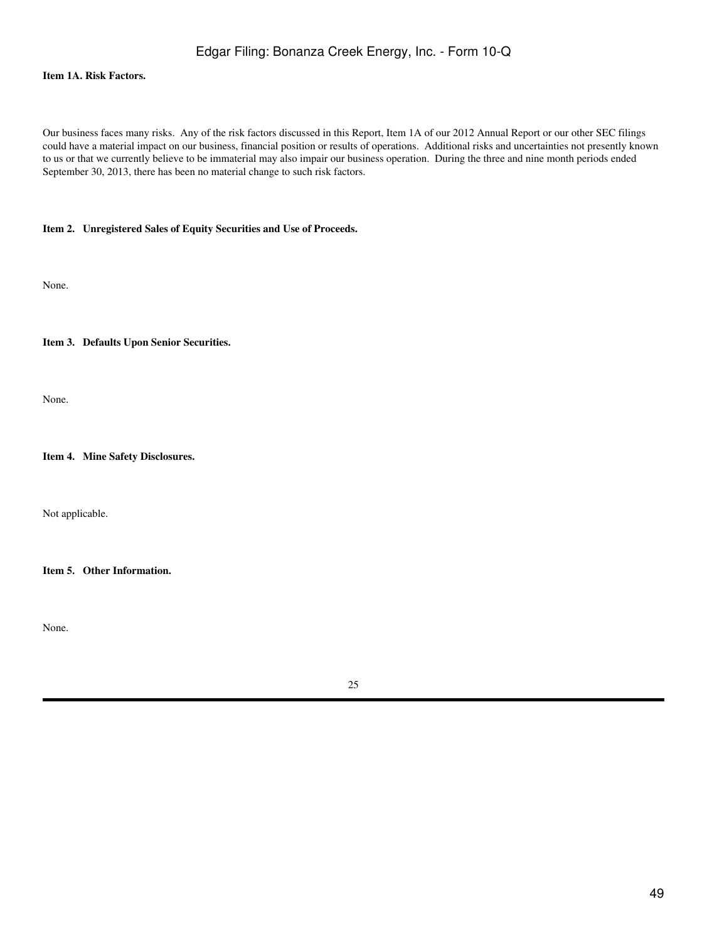#### <span id="page-48-0"></span>**Item 1A. Risk Factors.**

Our business faces many risks. Any of the risk factors discussed in this Report, Item 1A of our 2012 Annual Report or our other SEC filings could have a material impact on our business, financial position or results of operations. Additional risks and uncertainties not presently known to us or that we currently believe to be immaterial may also impair our business operation. During the three and nine month periods ended September 30, 2013, there has been no material change to such risk factors.

#### <span id="page-48-1"></span>**Item 2. Unregistered Sales of Equity Securities and Use of Proceeds.**

None.

<span id="page-48-2"></span>**Item 3. Defaults Upon Senior Securities.**

None.

<span id="page-48-3"></span>**Item 4. Mine Safety Disclosures.**

Not applicable.

<span id="page-48-4"></span>**Item 5. Other Information.**

None.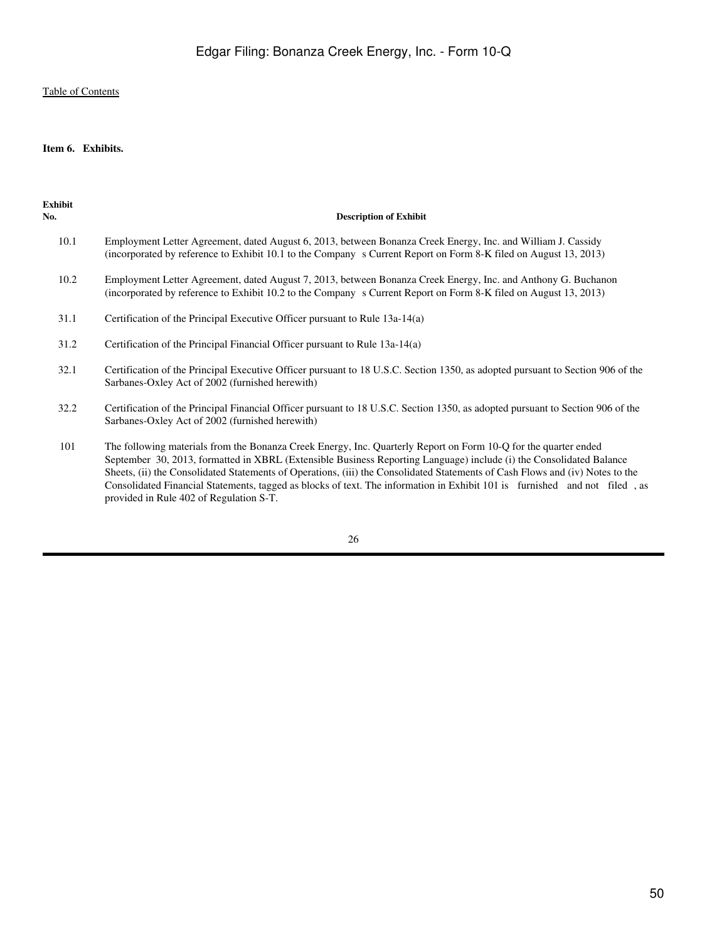#### <span id="page-49-0"></span>**Item 6. Exhibits.**

| Exhibit<br>No. | <b>Description of Exhibit</b>                                                                                                                                                                                                                                                                                                                                                                                                                                                                         |
|----------------|-------------------------------------------------------------------------------------------------------------------------------------------------------------------------------------------------------------------------------------------------------------------------------------------------------------------------------------------------------------------------------------------------------------------------------------------------------------------------------------------------------|
| 10.1           | Employment Letter Agreement, dated August 6, 2013, between Bonanza Creek Energy, Inc. and William J. Cassidy<br>(incorporated by reference to Exhibit 10.1 to the Company s Current Report on Form 8-K filed on August 13, 2013)                                                                                                                                                                                                                                                                      |
| 10.2           | Employment Letter Agreement, dated August 7, 2013, between Bonanza Creek Energy, Inc. and Anthony G. Buchanon<br>(incorporated by reference to Exhibit 10.2 to the Company s Current Report on Form 8-K filed on August 13, 2013)                                                                                                                                                                                                                                                                     |
| 31.1           | Certification of the Principal Executive Officer pursuant to Rule 13a-14(a)                                                                                                                                                                                                                                                                                                                                                                                                                           |
| 31.2           | Certification of the Principal Financial Officer pursuant to Rule 13a-14(a)                                                                                                                                                                                                                                                                                                                                                                                                                           |
| 32.1           | Certification of the Principal Executive Officer pursuant to 18 U.S.C. Section 1350, as adopted pursuant to Section 906 of the<br>Sarbanes-Oxley Act of 2002 (furnished herewith)                                                                                                                                                                                                                                                                                                                     |
| 32.2           | Certification of the Principal Financial Officer pursuant to 18 U.S.C. Section 1350, as adopted pursuant to Section 906 of the<br>Sarbanes-Oxley Act of 2002 (furnished herewith)                                                                                                                                                                                                                                                                                                                     |
| 101            | The following materials from the Bonanza Creek Energy, Inc. Quarterly Report on Form 10-Q for the quarter ended<br>September 30, 2013, formatted in XBRL (Extensible Business Reporting Language) include (i) the Consolidated Balance<br>Sheets, (ii) the Consolidated Statements of Operations, (iii) the Consolidated Statements of Cash Flows and (iv) Notes to the<br>Consolidated Financial Statements, tagged as blocks of text. The information in Exhibit 101 is furnished and not filed, as |

26

provided in Rule 402 of Regulation S-T.